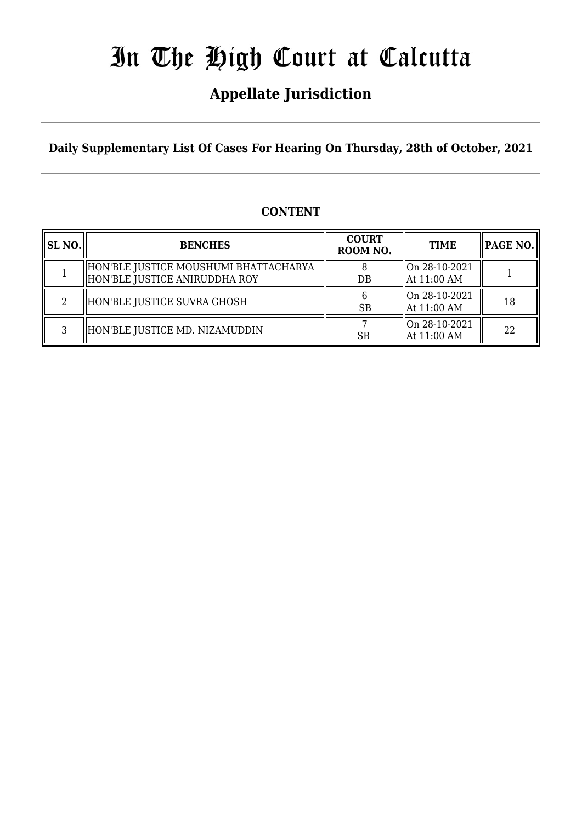## **Appellate Jurisdiction**

**Daily Supplementary List Of Cases For Hearing On Thursday, 28th of October, 2021**

### **CONTENT**

| SL NO. | <b>BENCHES</b>                                                         | <b>COURT</b><br>ROOM NO. | <b>TIME</b>                    | PAGE NO. |
|--------|------------------------------------------------------------------------|--------------------------|--------------------------------|----------|
|        | HON'BLE JUSTICE MOUSHUMI BHATTACHARYA<br>HON'BLE JUSTICE ANIRUDDHA ROY | DB                       | On 28-10-2021<br>  At 11:00 AM |          |
|        | HON'BLE JUSTICE SUVRA GHOSH                                            | <b>SB</b>                | On 28-10-2021<br>  At 11:00 AM | 18       |
|        | HON'BLE JUSTICE MD. NIZAMUDDIN                                         | SB                       | On 28-10-2021<br>  At 11:00 AM | 22       |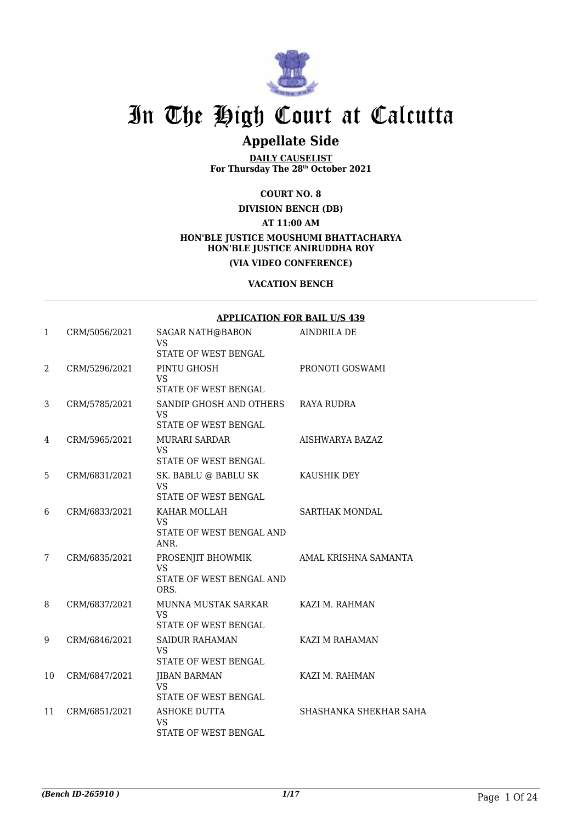

### **Appellate Side**

**DAILY CAUSELIST For Thursday The 28th October 2021**

**COURT NO. 8**

**DIVISION BENCH (DB)**

**AT 11:00 AM**

#### **HON'BLE JUSTICE MOUSHUMI BHATTACHARYA HON'BLE JUSTICE ANIRUDDHA ROY (VIA VIDEO CONFERENCE)**

#### **VACATION BENCH**

#### **APPLICATION FOR BAIL U/S 439**

| $\mathbf{1}$ | CRM/5056/2021 | <b>SAGAR NATH@BABON</b><br><b>VS</b><br>STATE OF WEST BENGAL       | <b>AINDRILA DE</b>     |
|--------------|---------------|--------------------------------------------------------------------|------------------------|
| 2            | CRM/5296/2021 | PINTU GHOSH<br><b>VS</b><br>STATE OF WEST BENGAL                   | PRONOTI GOSWAMI        |
| 3            | CRM/5785/2021 | SANDIP GHOSH AND OTHERS<br><b>VS</b><br>STATE OF WEST BENGAL       | RAYA RUDRA             |
| 4            | CRM/5965/2021 | MURARI SARDAR<br><b>VS</b><br>STATE OF WEST BENGAL                 | AISHWARYA BAZAZ        |
| 5            | CRM/6831/2021 | SK. BABLU @ BABLU SK<br><b>VS</b><br>STATE OF WEST BENGAL          | KAUSHIK DEY            |
| 6            | CRM/6833/2021 | KAHAR MOLLAH<br><b>VS</b><br>STATE OF WEST BENGAL AND<br>ANR.      | <b>SARTHAK MONDAL</b>  |
| 7            | CRM/6835/2021 | PROSENJIT BHOWMIK<br><b>VS</b><br>STATE OF WEST BENGAL AND<br>ORS. | AMAL KRISHNA SAMANTA   |
| 8            | CRM/6837/2021 | MUNNA MUSTAK SARKAR<br><b>VS</b><br>STATE OF WEST BENGAL           | KAZI M. RAHMAN         |
| 9            | CRM/6846/2021 | <b>SAIDUR RAHAMAN</b><br><b>VS</b><br>STATE OF WEST BENGAL         | KAZI M RAHAMAN         |
| 10           | CRM/6847/2021 | JIBAN BARMAN<br><b>VS</b><br><b>STATE OF WEST BENGAL</b>           | KAZI M. RAHMAN         |
| 11           | CRM/6851/2021 | <b>ASHOKE DUTTA</b><br><b>VS</b><br>STATE OF WEST BENGAL           | SHASHANKA SHEKHAR SAHA |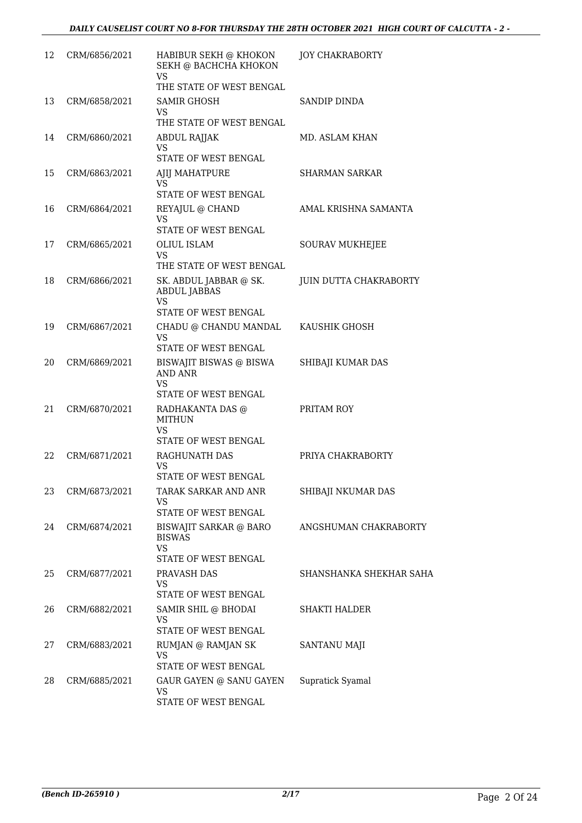| 12 | CRM/6856/2021 | HABIBUR SEKH @ KHOKON<br>SEKH @ BACHCHA KHOKON<br><b>VS</b> | <b>JOY CHAKRABORTY</b>  |
|----|---------------|-------------------------------------------------------------|-------------------------|
|    |               | THE STATE OF WEST BENGAL                                    |                         |
| 13 | CRM/6858/2021 | SAMIR GHOSH<br>VS                                           | SANDIP DINDA            |
|    |               | THE STATE OF WEST BENGAL                                    |                         |
| 14 | CRM/6860/2021 | ABDUL RAJJAK<br>VS<br>STATE OF WEST BENGAL                  | MD. ASLAM KHAN          |
| 15 | CRM/6863/2021 | AJIJ MAHATPURE                                              | SHARMAN SARKAR          |
|    |               | VS<br>STATE OF WEST BENGAL                                  |                         |
| 16 | CRM/6864/2021 | REYAJUL @ CHAND                                             | AMAL KRISHNA SAMANTA    |
|    |               | <b>VS</b>                                                   |                         |
|    |               | STATE OF WEST BENGAL                                        |                         |
| 17 | CRM/6865/2021 | <b>OLIUL ISLAM</b><br>VS                                    | <b>SOURAV MUKHEJEE</b>  |
|    |               | THE STATE OF WEST BENGAL                                    |                         |
| 18 | CRM/6866/2021 | SK. ABDUL JABBAR @ SK.<br><b>ABDUL JABBAS</b><br><b>VS</b>  | JUIN DUTTA CHAKRABORTY  |
|    |               | STATE OF WEST BENGAL                                        |                         |
| 19 | CRM/6867/2021 | CHADU @ CHANDU MANDAL<br><b>VS</b><br>STATE OF WEST BENGAL  | KAUSHIK GHOSH           |
| 20 | CRM/6869/2021 | BISWAJIT BISWAS @ BISWA<br><b>AND ANR</b><br>VS             | SHIBAJI KUMAR DAS       |
| 21 |               | STATE OF WEST BENGAL                                        | PRITAM ROY              |
|    | CRM/6870/2021 | RADHAKANTA DAS @<br><b>MITHUN</b><br><b>VS</b>              |                         |
|    |               | STATE OF WEST BENGAL                                        |                         |
| 22 | CRM/6871/2021 | RAGHUNATH DAS<br>VS<br>STATE OF WEST BENGAL                 | PRIYA CHAKRABORTY       |
| 23 | CRM/6873/2021 | TARAK SARKAR AND ANR                                        | SHIBAJI NKUMAR DAS      |
|    |               | <b>VS</b>                                                   |                         |
| 24 | CRM/6874/2021 | STATE OF WEST BENGAL<br>BISWAJIT SARKAR @ BARO              | ANGSHUMAN CHAKRABORTY   |
|    |               | <b>BISWAS</b><br><b>VS</b><br>STATE OF WEST BENGAL          |                         |
| 25 | CRM/6877/2021 | PRAVASH DAS                                                 | SHANSHANKA SHEKHAR SAHA |
|    |               | VS.<br>STATE OF WEST BENGAL                                 |                         |
| 26 | CRM/6882/2021 | SAMIR SHIL @ BHODAI                                         | <b>SHAKTI HALDER</b>    |
|    |               | VS<br>STATE OF WEST BENGAL                                  |                         |
| 27 | CRM/6883/2021 | RUMJAN @ RAMJAN SK                                          | SANTANU MAJI            |
|    |               | VS                                                          |                         |
|    |               | STATE OF WEST BENGAL                                        |                         |
| 28 | CRM/6885/2021 | GAUR GAYEN @ SANU GAYEN<br><b>VS</b>                        | Supratick Syamal        |
|    |               | STATE OF WEST BENGAL                                        |                         |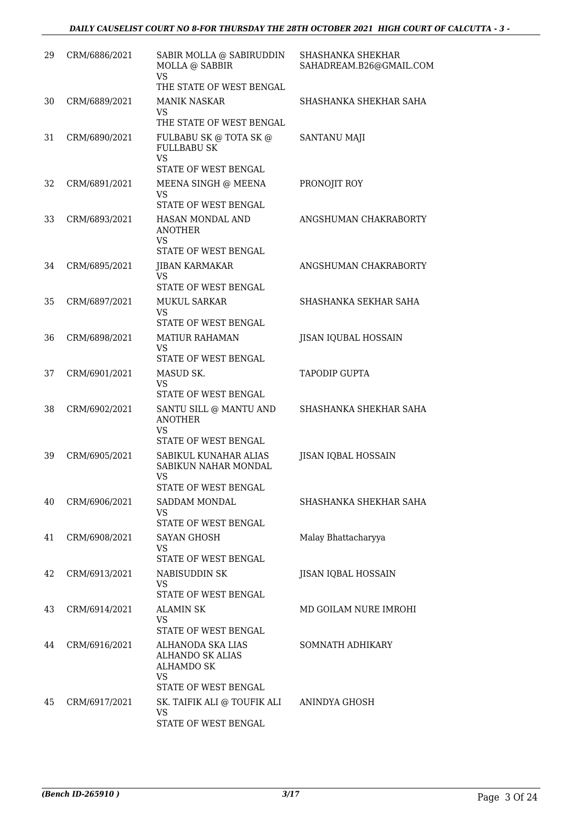| 29 | CRM/6886/2021 | SABIR MOLLA @ SABIRUDDIN<br>MOLLA @ SABBIR<br><b>VS</b><br>THE STATE OF WEST BENGAL   | SHASHANKA SHEKHAR<br>SAHADREAM.B26@GMAIL.COM |
|----|---------------|---------------------------------------------------------------------------------------|----------------------------------------------|
| 30 | CRM/6889/2021 | <b>MANIK NASKAR</b><br>VS                                                             | SHASHANKA SHEKHAR SAHA                       |
|    |               | THE STATE OF WEST BENGAL                                                              |                                              |
| 31 | CRM/6890/2021 | FULBABU SK @ TOTA SK @<br><b>FULLBABU SK</b><br><b>VS</b>                             | SANTANU MAJI                                 |
|    |               | STATE OF WEST BENGAL                                                                  |                                              |
| 32 | CRM/6891/2021 | MEENA SINGH @ MEENA<br>VS<br>STATE OF WEST BENGAL                                     | PRONOJIT ROY                                 |
| 33 | CRM/6893/2021 | HASAN MONDAL AND<br><b>ANOTHER</b><br>VS                                              | ANGSHUMAN CHAKRABORTY                        |
|    |               | STATE OF WEST BENGAL                                                                  |                                              |
| 34 | CRM/6895/2021 | <b>JIBAN KARMAKAR</b><br>VS                                                           | ANGSHUMAN CHAKRABORTY                        |
|    |               | <b>STATE OF WEST BENGAL</b>                                                           |                                              |
| 35 | CRM/6897/2021 | <b>MUKUL SARKAR</b><br><b>VS</b>                                                      | SHASHANKA SEKHAR SAHA                        |
|    |               | <b>STATE OF WEST BENGAL</b>                                                           |                                              |
| 36 | CRM/6898/2021 | <b>MATIUR RAHAMAN</b><br>VS<br>STATE OF WEST BENGAL                                   | JISAN IQUBAL HOSSAIN                         |
| 37 | CRM/6901/2021 | MASUD SK.                                                                             | <b>TAPODIP GUPTA</b>                         |
|    |               | VS                                                                                    |                                              |
|    |               | STATE OF WEST BENGAL                                                                  |                                              |
| 38 | CRM/6902/2021 | SANTU SILL @ MANTU AND<br><b>ANOTHER</b><br><b>VS</b>                                 | SHASHANKA SHEKHAR SAHA                       |
|    |               | <b>STATE OF WEST BENGAL</b>                                                           |                                              |
| 39 | CRM/6905/2021 | SABIKUL KUNAHAR ALIAS<br>SABIKUN NAHAR MONDAL<br><b>VS</b>                            | <b>JISAN IQBAL HOSSAIN</b>                   |
| 40 | CRM/6906/2021 | STATE OF WEST BENGAL<br>SADDAM MONDAL                                                 | SHASHANKA SHEKHAR SAHA                       |
|    |               | <b>VS</b>                                                                             |                                              |
|    |               | STATE OF WEST BENGAL                                                                  |                                              |
| 41 | CRM/6908/2021 | <b>SAYAN GHOSH</b><br>VS<br>STATE OF WEST BENGAL                                      | Malay Bhattacharyya                          |
| 42 | CRM/6913/2021 | NABISUDDIN SK                                                                         | <b>JISAN IQBAL HOSSAIN</b>                   |
|    |               | <b>VS</b>                                                                             |                                              |
|    |               | STATE OF WEST BENGAL                                                                  |                                              |
| 43 | CRM/6914/2021 | ALAMIN SK<br><b>VS</b><br>STATE OF WEST BENGAL                                        | MD GOILAM NURE IMROHI                        |
| 44 | CRM/6916/2021 | <b>ALHANODA SKA LIAS</b><br><b>ALHANDO SK ALIAS</b><br><b>ALHAMDO SK</b><br><b>VS</b> | SOMNATH ADHIKARY                             |
|    |               | <b>STATE OF WEST BENGAL</b>                                                           |                                              |
| 45 | CRM/6917/2021 | SK. TAIFIK ALI @ TOUFIK ALI<br><b>VS</b><br>STATE OF WEST BENGAL                      | ANINDYA GHOSH                                |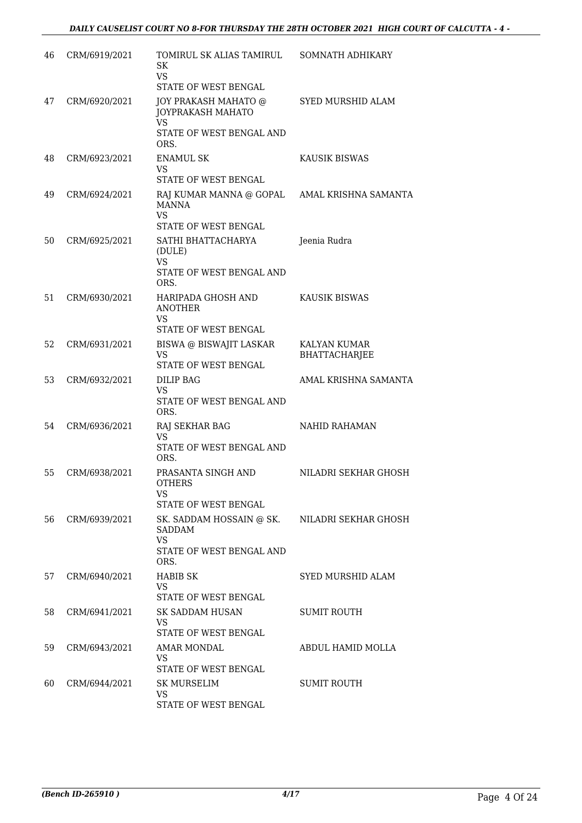| 46 | CRM/6919/2021 | TOMIRUL SK ALIAS TAMIRUL<br><b>SK</b><br><b>VS</b><br>STATE OF WEST BENGAL                                                | SOMNATH ADHIKARY              |
|----|---------------|---------------------------------------------------------------------------------------------------------------------------|-------------------------------|
| 47 | CRM/6920/2021 | JOY PRAKASH MAHATO @<br>JOYPRAKASH MAHATO<br><b>VS</b><br>STATE OF WEST BENGAL AND<br>ORS.                                | <b>SYED MURSHID ALAM</b>      |
| 48 | CRM/6923/2021 | <b>ENAMUL SK</b><br><b>VS</b>                                                                                             | KAUSIK BISWAS                 |
| 49 | CRM/6924/2021 | STATE OF WEST BENGAL<br>RAJ KUMAR MANNA @ GOPAL AMAL KRISHNA SAMANTA<br><b>MANNA</b><br><b>VS</b><br>STATE OF WEST BENGAL |                               |
| 50 | CRM/6925/2021 | SATHI BHATTACHARYA<br>(DULE)<br><b>VS</b><br>STATE OF WEST BENGAL AND                                                     | Jeenia Rudra                  |
| 51 | CRM/6930/2021 | ORS.<br>HARIPADA GHOSH AND<br><b>ANOTHER</b><br><b>VS</b><br>STATE OF WEST BENGAL                                         | <b>KAUSIK BISWAS</b>          |
| 52 | CRM/6931/2021 | BISWA @ BISWAJIT LASKAR<br><b>VS</b><br>STATE OF WEST BENGAL                                                              | KALYAN KUMAR<br>BHATTACHARJEE |
| 53 | CRM/6932/2021 | <b>DILIP BAG</b><br>VS.<br>STATE OF WEST BENGAL AND                                                                       | AMAL KRISHNA SAMANTA          |
| 54 | CRM/6936/2021 | ORS.<br>RAJ SEKHAR BAG<br><b>VS</b><br>STATE OF WEST BENGAL AND<br>ORS.                                                   | <b>NAHID RAHAMAN</b>          |
| 55 | CRM/6938/2021 | PRASANTA SINGH AND<br>OTHERS<br>VS<br>STATE OF WEST BENGAL                                                                | NILADRI SEKHAR GHOSH          |
| 56 | CRM/6939/2021 | SK. SADDAM HOSSAIN @ SK. NILADRI SEKHAR GHOSH<br>SADDAM<br><b>VS</b><br>STATE OF WEST BENGAL AND<br>ORS.                  |                               |
| 57 | CRM/6940/2021 | <b>HABIB SK</b><br>VS<br>STATE OF WEST BENGAL                                                                             | SYED MURSHID ALAM             |
| 58 | CRM/6941/2021 | SK SADDAM HUSAN<br>VS<br>STATE OF WEST BENGAL                                                                             | <b>SUMIT ROUTH</b>            |
| 59 | CRM/6943/2021 | AMAR MONDAL<br>VS<br>STATE OF WEST BENGAL                                                                                 | ABDUL HAMID MOLLA             |
| 60 | CRM/6944/2021 | SK MURSELIM<br><b>VS</b><br>STATE OF WEST BENGAL                                                                          | <b>SUMIT ROUTH</b>            |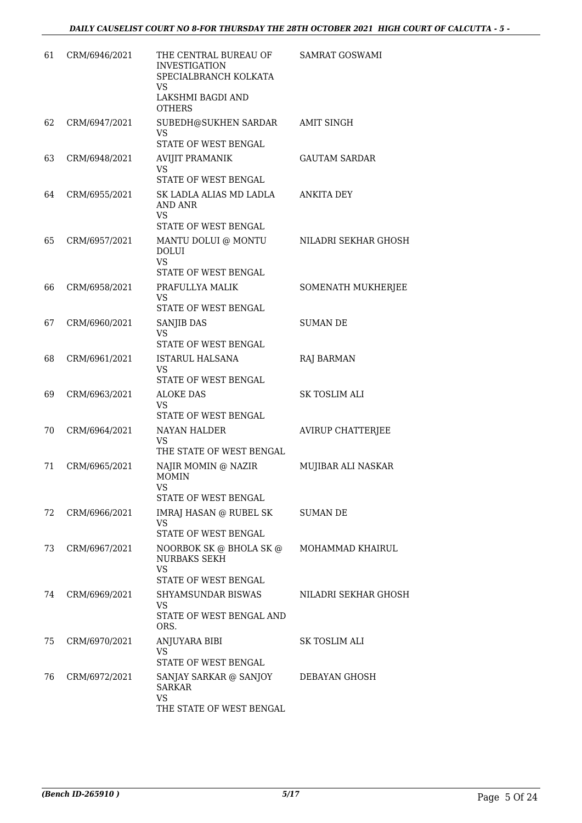| 61  | CRM/6946/2021 | THE CENTRAL BUREAU OF<br><b>INVESTIGATION</b><br>SPECIALBRANCH KOLKATA<br><b>VS</b><br>LAKSHMI BAGDI AND<br><b>OTHERS</b> | <b>SAMRAT GOSWAMI</b>    |
|-----|---------------|---------------------------------------------------------------------------------------------------------------------------|--------------------------|
| 62  | CRM/6947/2021 | SUBEDH@SUKHEN SARDAR<br><b>VS</b><br>STATE OF WEST BENGAL                                                                 | <b>AMIT SINGH</b>        |
| 63  | CRM/6948/2021 | <b>AVIJIT PRAMANIK</b><br><b>VS</b><br>STATE OF WEST BENGAL                                                               | <b>GAUTAM SARDAR</b>     |
| 64  | CRM/6955/2021 | SK LADLA ALIAS MD LADLA<br><b>AND ANR</b><br><b>VS</b><br>STATE OF WEST BENGAL                                            | <b>ANKITA DEY</b>        |
| 65  | CRM/6957/2021 | MANTU DOLUI @ MONTU<br><b>DOLUI</b><br><b>VS</b><br>STATE OF WEST BENGAL                                                  | NILADRI SEKHAR GHOSH     |
| 66  | CRM/6958/2021 | PRAFULLYA MALIK<br><b>VS</b><br>STATE OF WEST BENGAL                                                                      | SOMENATH MUKHERJEE       |
| 67  | CRM/6960/2021 | SANJIB DAS<br><b>VS</b><br>STATE OF WEST BENGAL                                                                           | <b>SUMAN DE</b>          |
| 68  | CRM/6961/2021 | <b>ISTARUL HALSANA</b><br>VS<br>STATE OF WEST BENGAL                                                                      | <b>RAJ BARMAN</b>        |
| 69  | CRM/6963/2021 | <b>ALOKE DAS</b><br><b>VS</b><br>STATE OF WEST BENGAL                                                                     | SK TOSLIM ALI            |
| 70  | CRM/6964/2021 | <b>NAYAN HALDER</b><br>VS<br>THE STATE OF WEST BENGAL                                                                     | <b>AVIRUP CHATTERJEE</b> |
| 71  | CRM/6965/2021 | NAJIR MOMIN @ NAZIR<br><b>MOMIN</b><br><b>VS</b><br>STATE OF WEST BENGAL                                                  | MUJIBAR ALI NASKAR       |
| 72. | CRM/6966/2021 | IMRAJ HASAN @ RUBEL SK<br>VS<br><b>STATE OF WEST BENGAL</b>                                                               | <b>SUMAN DE</b>          |
| 73  | CRM/6967/2021 | NOORBOK SK @ BHOLA SK @<br><b>NURBAKS SEKH</b><br>VS<br>STATE OF WEST BENGAL                                              | MOHAMMAD KHAIRUL         |
| 74  | CRM/6969/2021 | SHYAMSUNDAR BISWAS<br><b>VS</b><br>STATE OF WEST BENGAL AND<br>ORS.                                                       | NILADRI SEKHAR GHOSH     |
| 75  | CRM/6970/2021 | ANJUYARA BIBI<br>VS<br>STATE OF WEST BENGAL                                                                               | SK TOSLIM ALI            |
| 76  | CRM/6972/2021 | SANJAY SARKAR @ SANJOY<br><b>SARKAR</b><br><b>VS</b><br>THE STATE OF WEST BENGAL                                          | DEBAYAN GHOSH            |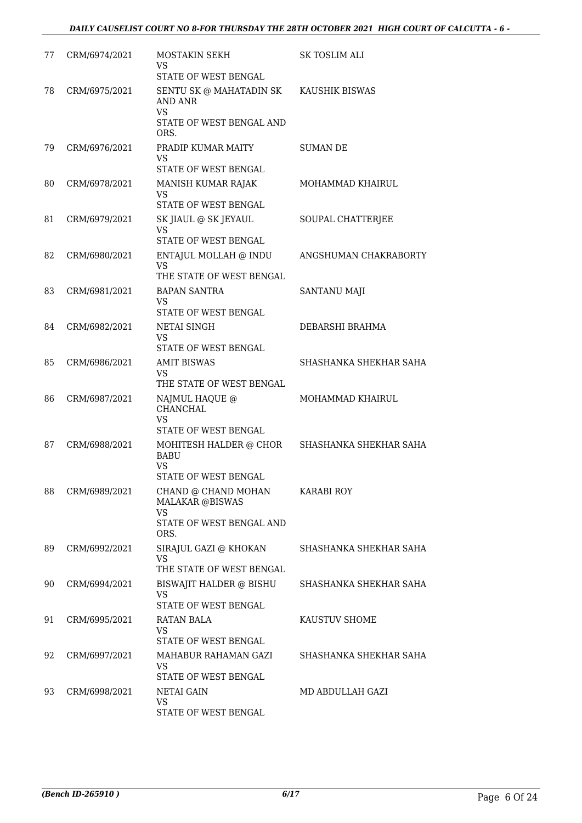| 77 | CRM/6974/2021 | MOSTAKIN SEKH<br>VS<br>STATE OF WEST BENGAL                                        | SK TOSLIM ALI          |
|----|---------------|------------------------------------------------------------------------------------|------------------------|
| 78 | CRM/6975/2021 | SENTU SK @ MAHATADIN SK<br><b>AND ANR</b><br><b>VS</b><br>STATE OF WEST BENGAL AND | KAUSHIK BISWAS         |
|    |               | ORS.                                                                               |                        |
| 79 | CRM/6976/2021 | PRADIP KUMAR MAITY<br>VS                                                           | <b>SUMAN DE</b>        |
| 80 | CRM/6978/2021 | STATE OF WEST BENGAL<br>MANISH KUMAR RAJAK                                         | MOHAMMAD KHAIRUL       |
|    |               | VS<br>STATE OF WEST BENGAL                                                         |                        |
| 81 | CRM/6979/2021 | SK JIAUL @ SK JEYAUL<br>VS.                                                        | SOUPAL CHATTERJEE      |
|    |               | STATE OF WEST BENGAL                                                               |                        |
| 82 | CRM/6980/2021 | ENTAJUL MOLLAH @ INDU<br>VS<br>THE STATE OF WEST BENGAL                            | ANGSHUMAN CHAKRABORTY  |
| 83 | CRM/6981/2021 | <b>BAPAN SANTRA</b>                                                                | SANTANU MAJI           |
|    |               | <b>VS</b><br>STATE OF WEST BENGAL                                                  |                        |
| 84 | CRM/6982/2021 | NETAI SINGH                                                                        | DEBARSHI BRAHMA        |
|    |               | VS                                                                                 |                        |
|    |               | STATE OF WEST BENGAL                                                               |                        |
| 85 | CRM/6986/2021 | <b>AMIT BISWAS</b><br>VS<br>THE STATE OF WEST BENGAL                               | SHASHANKA SHEKHAR SAHA |
| 86 | CRM/6987/2021 | NAJMUL HAQUE @<br>CHANCHAL                                                         | MOHAMMAD KHAIRUL       |
|    |               | <b>VS</b><br><b>STATE OF WEST BENGAL</b>                                           |                        |
| 87 | CRM/6988/2021 | MOHITESH HALDER @ CHOR<br><b>BABU</b>                                              | SHASHANKA SHEKHAR SAHA |
|    |               | <b>VS</b><br>STATE OF WEST BENGAL                                                  |                        |
| 88 | CRM/6989/2021 | CHAND @ CHAND MOHAN<br><b>MALAKAR @BISWAS</b>                                      | <b>KARABI ROY</b>      |
|    |               | <b>VS</b><br>STATE OF WEST BENGAL AND<br>ORS.                                      |                        |
| 89 | CRM/6992/2021 | SIRAJUL GAZI @ KHOKAN<br><b>VS</b>                                                 | SHASHANKA SHEKHAR SAHA |
|    |               | THE STATE OF WEST BENGAL                                                           |                        |
| 90 | CRM/6994/2021 | BISWAJIT HALDER @ BISHU<br><b>VS</b><br>STATE OF WEST BENGAL                       | SHASHANKA SHEKHAR SAHA |
| 91 | CRM/6995/2021 | RATAN BALA                                                                         | KAUSTUV SHOME          |
|    |               | <b>VS</b><br>STATE OF WEST BENGAL                                                  |                        |
| 92 | CRM/6997/2021 | MAHABUR RAHAMAN GAZI                                                               | SHASHANKA SHEKHAR SAHA |
|    |               | VS                                                                                 |                        |
|    |               | STATE OF WEST BENGAL                                                               |                        |
| 93 | CRM/6998/2021 | NETAI GAIN<br>VS                                                                   | MD ABDULLAH GAZI       |
|    |               | STATE OF WEST BENGAL                                                               |                        |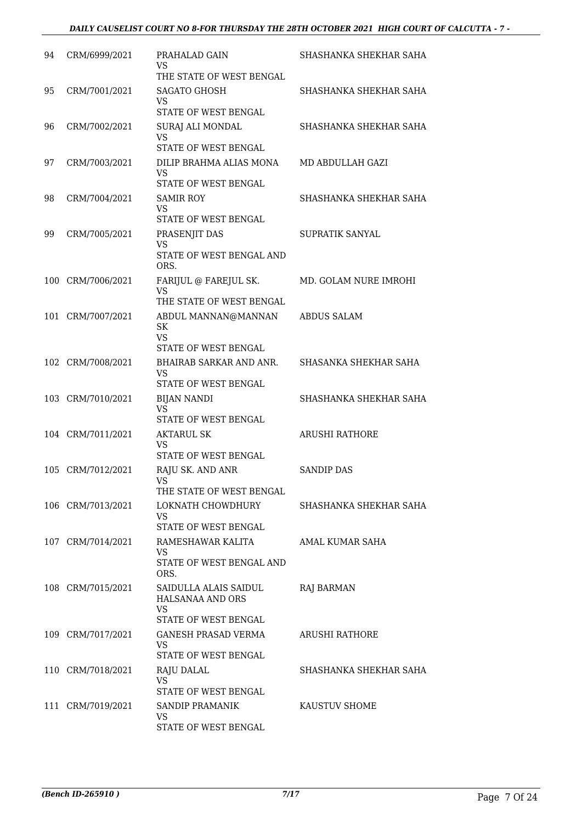| 94 | CRM/6999/2021     | PRAHALAD GAIN<br>VS<br>THE STATE OF WEST BENGAL        | SHASHANKA SHEKHAR SAHA |
|----|-------------------|--------------------------------------------------------|------------------------|
| 95 | CRM/7001/2021     | SAGATO GHOSH<br>VS                                     | SHASHANKA SHEKHAR SAHA |
|    |                   | STATE OF WEST BENGAL                                   |                        |
| 96 | CRM/7002/2021     | SURAJ ALI MONDAL<br>VS                                 | SHASHANKA SHEKHAR SAHA |
| 97 | CRM/7003/2021     | STATE OF WEST BENGAL<br>DILIP BRAHMA ALIAS MONA        | MD ABDULLAH GAZI       |
|    |                   | VS<br>STATE OF WEST BENGAL                             |                        |
| 98 | CRM/7004/2021     | <b>SAMIR ROY</b>                                       | SHASHANKA SHEKHAR SAHA |
|    |                   | VS<br>STATE OF WEST BENGAL                             |                        |
| 99 | CRM/7005/2021     | PRASENJIT DAS                                          | <b>SUPRATIK SANYAL</b> |
|    |                   | <b>VS</b><br>STATE OF WEST BENGAL AND<br>ORS.          |                        |
|    | 100 CRM/7006/2021 | FARIJUL @ FAREJUL SK.                                  | MD. GOLAM NURE IMROHI  |
|    |                   | VS<br>THE STATE OF WEST BENGAL                         |                        |
|    | 101 CRM/7007/2021 | ABDUL MANNAN@MANNAN<br><b>SK</b><br><b>VS</b>          | <b>ABDUS SALAM</b>     |
|    |                   | STATE OF WEST BENGAL                                   |                        |
|    | 102 CRM/7008/2021 | BHAIRAB SARKAR AND ANR.<br>VS                          | SHASANKA SHEKHAR SAHA  |
|    |                   | STATE OF WEST BENGAL                                   |                        |
|    | 103 CRM/7010/2021 | <b>BIJAN NANDI</b><br><b>VS</b>                        | SHASHANKA SHEKHAR SAHA |
|    | 104 CRM/7011/2021 | STATE OF WEST BENGAL<br><b>AKTARUL SK</b>              | <b>ARUSHI RATHORE</b>  |
|    |                   | VS<br>STATE OF WEST BENGAL                             |                        |
|    | 105 CRM/7012/2021 | RAJU SK. AND ANR                                       | <b>SANDIP DAS</b>      |
|    |                   | VS<br>THE STATE OF WEST BENGAL                         |                        |
|    | 106 CRM/7013/2021 | LOKNATH CHOWDHURY                                      | SHASHANKA SHEKHAR SAHA |
|    |                   | <b>VS</b>                                              |                        |
|    |                   | STATE OF WEST BENGAL                                   |                        |
|    | 107 CRM/7014/2021 | RAMESHAWAR KALITA<br>VS.                               | AMAL KUMAR SAHA        |
|    |                   | STATE OF WEST BENGAL AND<br>ORS.                       |                        |
|    | 108 CRM/7015/2021 | SAIDULLA ALAIS SAIDUL<br>HALSANAA AND ORS<br><b>VS</b> | <b>RAJ BARMAN</b>      |
|    |                   | STATE OF WEST BENGAL                                   |                        |
|    | 109 CRM/7017/2021 | GANESH PRASAD VERMA<br><b>VS</b>                       | ARUSHI RATHORE         |
|    |                   | STATE OF WEST BENGAL                                   |                        |
|    | 110 CRM/7018/2021 | RAJU DALAL<br>VS                                       | SHASHANKA SHEKHAR SAHA |
|    |                   | STATE OF WEST BENGAL                                   |                        |
|    | 111 CRM/7019/2021 | SANDIP PRAMANIK<br>VS.                                 | KAUSTUV SHOME          |
|    |                   | STATE OF WEST BENGAL                                   |                        |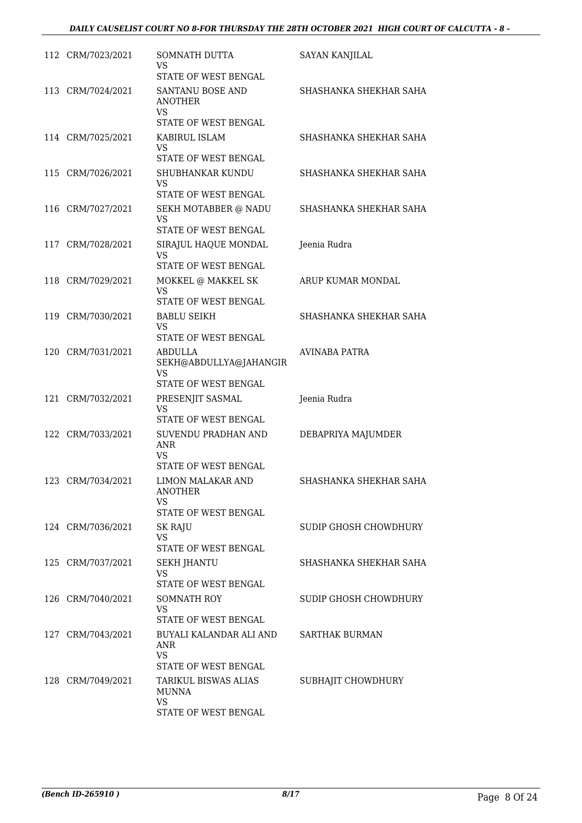#### *DAILY CAUSELIST COURT NO 8-FOR THURSDAY THE 28TH OCTOBER 2021 HIGH COURT OF CALCUTTA - 8 -*

| 112 CRM/7023/2021 | SOMNATH DUTTA<br>VS<br>STATE OF WEST BENGAL                     | <b>SAYAN KANJILAL</b>  |
|-------------------|-----------------------------------------------------------------|------------------------|
| 113 CRM/7024/2021 | SANTANU BOSE AND<br><b>ANOTHER</b><br>VS                        | SHASHANKA SHEKHAR SAHA |
|                   | STATE OF WEST BENGAL                                            |                        |
| 114 CRM/7025/2021 | KABIRUL ISLAM<br>VS                                             | SHASHANKA SHEKHAR SAHA |
|                   | STATE OF WEST BENGAL                                            |                        |
| 115 CRM/7026/2021 | SHUBHANKAR KUNDU<br>VS                                          | SHASHANKA SHEKHAR SAHA |
|                   | STATE OF WEST BENGAL                                            |                        |
| 116 CRM/7027/2021 | SEKH MOTABBER @ NADU<br>VS<br>STATE OF WEST BENGAL              | SHASHANKA SHEKHAR SAHA |
| 117 CRM/7028/2021 | SIRAJUL HAQUE MONDAL                                            | Jeenia Rudra           |
|                   | VS                                                              |                        |
|                   | STATE OF WEST BENGAL                                            |                        |
| 118 CRM/7029/2021 | MOKKEL @ MAKKEL SK<br>VS<br>STATE OF WEST BENGAL                | ARUP KUMAR MONDAL      |
| 119 CRM/7030/2021 | <b>BABLU SEIKH</b>                                              | SHASHANKA SHEKHAR SAHA |
|                   | <b>VS</b><br>STATE OF WEST BENGAL                               |                        |
| 120 CRM/7031/2021 | ABDULLA<br>SEKH@ABDULLYA@JAHANGIR<br>VS<br>STATE OF WEST BENGAL | <b>AVINABA PATRA</b>   |
| 121 CRM/7032/2021 | PRESENJIT SASMAL                                                | Jeenia Rudra           |
|                   | <b>VS</b><br>STATE OF WEST BENGAL                               |                        |
| 122 CRM/7033/2021 | SUVENDU PRADHAN AND<br><b>ANR</b><br>VS                         | DEBAPRIYA MAJUMDER     |
|                   | STATE OF WEST BENGAL                                            |                        |
| 123 CRM/7034/2021 | LIMON MALAKAR AND<br><b>ANOTHER</b><br><b>VS</b>                | SHASHANKA SHEKHAR SAHA |
|                   | STATE OF WEST BENGAL                                            |                        |
| 124 CRM/7036/2021 | SK RAJU<br><b>VS</b>                                            | SUDIP GHOSH CHOWDHURY  |
|                   | STATE OF WEST BENGAL                                            |                        |
| 125 CRM/7037/2021 | <b>SEKH JHANTU</b>                                              | SHASHANKA SHEKHAR SAHA |
|                   | <b>VS</b><br>STATE OF WEST BENGAL                               |                        |
| 126 CRM/7040/2021 | SOMNATH ROY                                                     | SUDIP GHOSH CHOWDHURY  |
|                   | VS<br>STATE OF WEST BENGAL                                      |                        |
| 127 CRM/7043/2021 | BUYALI KALANDAR ALI AND SARTHAK BURMAN                          |                        |
|                   | <b>ANR</b><br><b>VS</b>                                         |                        |
|                   | STATE OF WEST BENGAL                                            |                        |
| 128 CRM/7049/2021 | TARIKUL BISWAS ALIAS<br><b>MUNNA</b><br><b>VS</b>               | SUBHAJIT CHOWDHURY     |
|                   | STATE OF WEST BENGAL                                            |                        |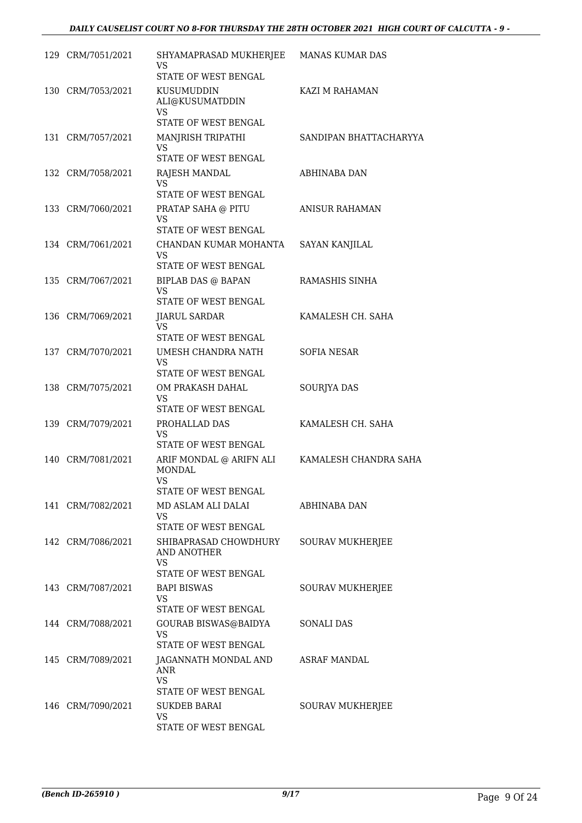| 129 CRM/7051/2021 | SHYAMAPRASAD MUKHERJEE<br>VS<br>STATE OF WEST BENGAL                   | <b>MANAS KUMAR DAS</b>  |
|-------------------|------------------------------------------------------------------------|-------------------------|
| 130 CRM/7053/2021 | KUSUMUDDIN<br>ALI@KUSUMATDDIN<br>VS                                    | KAZI M RAHAMAN          |
|                   | STATE OF WEST BENGAL                                                   |                         |
| 131 CRM/7057/2021 | MANJRISH TRIPATHI<br>VS<br>STATE OF WEST BENGAL                        | SANDIPAN BHATTACHARYYA  |
| 132 CRM/7058/2021 | RAJESH MANDAL<br>VS                                                    | ABHINABA DAN            |
|                   | STATE OF WEST BENGAL                                                   |                         |
| 133 CRM/7060/2021 | PRATAP SAHA @ PITU<br>VS<br>STATE OF WEST BENGAL                       | ANISUR RAHAMAN          |
| 134 CRM/7061/2021 | CHANDAN KUMAR MOHANTA                                                  | <b>SAYAN KANJILAL</b>   |
|                   | VS.                                                                    |                         |
|                   | <b>STATE OF WEST BENGAL</b>                                            |                         |
| 135 CRM/7067/2021 | <b>BIPLAB DAS @ BAPAN</b><br><b>VS</b><br>STATE OF WEST BENGAL         | RAMASHIS SINHA          |
| 136 CRM/7069/2021 | <b>JIARUL SARDAR</b>                                                   | KAMALESH CH. SAHA       |
|                   | <b>VS</b>                                                              |                         |
|                   | STATE OF WEST BENGAL                                                   |                         |
| 137 CRM/7070/2021 | UMESH CHANDRA NATH<br><b>VS</b><br>STATE OF WEST BENGAL                | <b>SOFIA NESAR</b>      |
| 138 CRM/7075/2021 | OM PRAKASH DAHAL                                                       | SOURJYA DAS             |
|                   | VS<br>STATE OF WEST BENGAL                                             |                         |
| 139 CRM/7079/2021 | PROHALLAD DAS                                                          | KAMALESH CH. SAHA       |
|                   | VS<br>STATE OF WEST BENGAL                                             |                         |
| 140 CRM/7081/2021 | ARIF MONDAL @ ARIFN ALI<br><b>MONDAL</b><br>VS<br>STATE OF WEST BENGAL | KAMALESH CHANDRA SAHA   |
| 141 CRM/7082/2021 | MD ASLAM ALI DALAI                                                     | ABHINABA DAN            |
|                   | VS                                                                     |                         |
|                   | STATE OF WEST BENGAL                                                   |                         |
| 142 CRM/7086/2021 | SHIBAPRASAD CHOWDHURY<br>AND ANOTHER<br>VS                             | SOURAV MUKHERJEE        |
|                   | STATE OF WEST BENGAL                                                   |                         |
| 143 CRM/7087/2021 | <b>BAPI BISWAS</b><br>VS<br>STATE OF WEST BENGAL                       | SOURAV MUKHERJEE        |
| 144 CRM/7088/2021 | GOURAB BISWAS@BAIDYA                                                   | SONALI DAS              |
|                   | VS<br>STATE OF WEST BENGAL                                             |                         |
| 145 CRM/7089/2021 | JAGANNATH MONDAL AND<br>ANR                                            | ASRAF MANDAL            |
|                   | <b>VS</b><br>STATE OF WEST BENGAL                                      |                         |
| 146 CRM/7090/2021 | <b>SUKDEB BARAI</b>                                                    | <b>SOURAV MUKHERJEE</b> |
|                   | VS<br>STATE OF WEST BENGAL                                             |                         |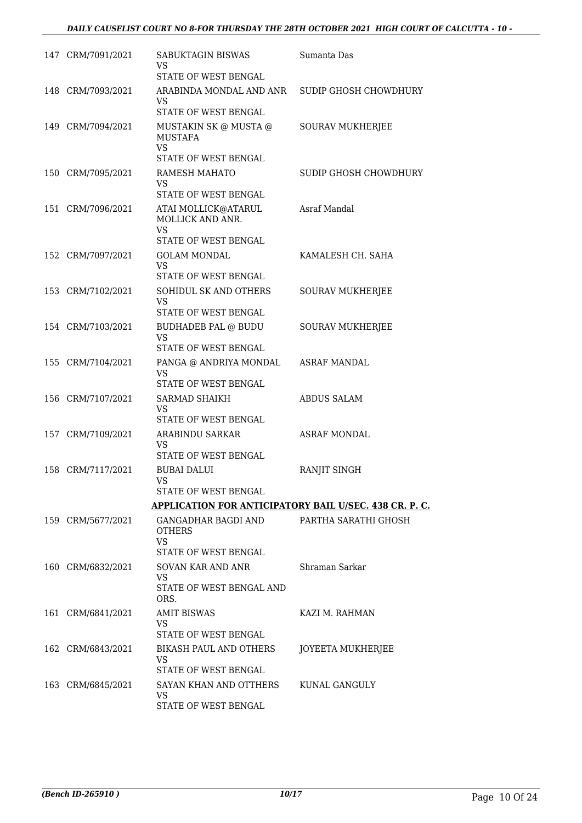#### *DAILY CAUSELIST COURT NO 8-FOR THURSDAY THE 28TH OCTOBER 2021 HIGH COURT OF CALCUTTA - 10 -*

| 147 CRM/7091/2021 | SABUKTAGIN BISWAS<br>VS                                                                 | Sumanta Das             |
|-------------------|-----------------------------------------------------------------------------------------|-------------------------|
|                   | STATE OF WEST BENGAL                                                                    |                         |
| 148 CRM/7093/2021 | ARABINDA MONDAL AND ANR<br>VS                                                           | SUDIP GHOSH CHOWDHURY   |
|                   | STATE OF WEST BENGAL                                                                    |                         |
| 149 CRM/7094/2021 | MUSTAKIN SK $@$ MUSTA $@$<br><b>MUSTAFA</b><br><b>VS</b><br><b>STATE OF WEST BENGAL</b> | <b>SOURAV MUKHERJEE</b> |
| 150 CRM/7095/2021 | RAMESH MAHATO                                                                           | SUDIP GHOSH CHOWDHURY   |
|                   | VS<br>STATE OF WEST BENGAL                                                              |                         |
| 151 CRM/7096/2021 | ATAI MOLLICK@ATARUL<br>MOLLICK AND ANR.<br>VS.                                          | Asraf Mandal            |
|                   | <b>STATE OF WEST BENGAL</b>                                                             |                         |
| 152 CRM/7097/2021 | <b>GOLAM MONDAL</b><br>VS.                                                              | KAMALESH CH. SAHA       |
|                   | STATE OF WEST BENGAL                                                                    |                         |
| 153 CRM/7102/2021 | SOHIDUL SK AND OTHERS<br><b>VS</b>                                                      | <b>SOURAV MUKHERJEE</b> |
|                   | STATE OF WEST BENGAL                                                                    |                         |
| 154 CRM/7103/2021 | <b>BUDHADEB PAL @ BUDU</b><br><b>VS</b>                                                 | <b>SOURAV MUKHERJEE</b> |
|                   | STATE OF WEST BENGAL                                                                    |                         |
| 155 CRM/7104/2021 | PANGA @ ANDRIYA MONDAL<br><b>VS</b><br>STATE OF WEST BENGAL                             | ASRAF MANDAL            |
| 156 CRM/7107/2021 | <b>SARMAD SHAIKH</b>                                                                    | <b>ABDUS SALAM</b>      |
|                   | VS<br>STATE OF WEST BENGAL                                                              |                         |
| 157 CRM/7109/2021 | ARABINDU SARKAR                                                                         | <b>ASRAF MONDAL</b>     |
|                   | VS<br>STATE OF WEST BENGAL                                                              |                         |
| 158 CRM/7117/2021 | <b>BUBAI DALUI</b><br>VS.                                                               | RANJIT SINGH            |
|                   | STATE OF WEST BENGAL                                                                    |                         |
|                   | <b>APPLICATION FOR ANTICIPATORY BAIL U/SEC. 438 CR. P. C.</b>                           |                         |
| 159 CRM/5677/2021 | GANGADHAR BAGDI AND<br><b>OTHERS</b><br>VS.                                             | PARTHA SARATHI GHOSH    |
|                   | STATE OF WEST BENGAL                                                                    |                         |
| 160 CRM/6832/2021 | SOVAN KAR AND ANR                                                                       | Shraman Sarkar          |
|                   | <b>VS</b><br>STATE OF WEST BENGAL AND<br>ORS.                                           |                         |
|                   | <b>AMIT BISWAS</b>                                                                      | KAZI M. RAHMAN          |
| 161 CRM/6841/2021 | VS<br>STATE OF WEST BENGAL                                                              |                         |
| 162 CRM/6843/2021 | BIKASH PAUL AND OTHERS                                                                  | JOYEETA MUKHERJEE       |
|                   | VS                                                                                      |                         |
|                   | STATE OF WEST BENGAL                                                                    |                         |
| 163 CRM/6845/2021 | SAYAN KHAN AND OTTHERS<br>VS                                                            | KUNAL GANGULY           |
|                   | STATE OF WEST BENGAL                                                                    |                         |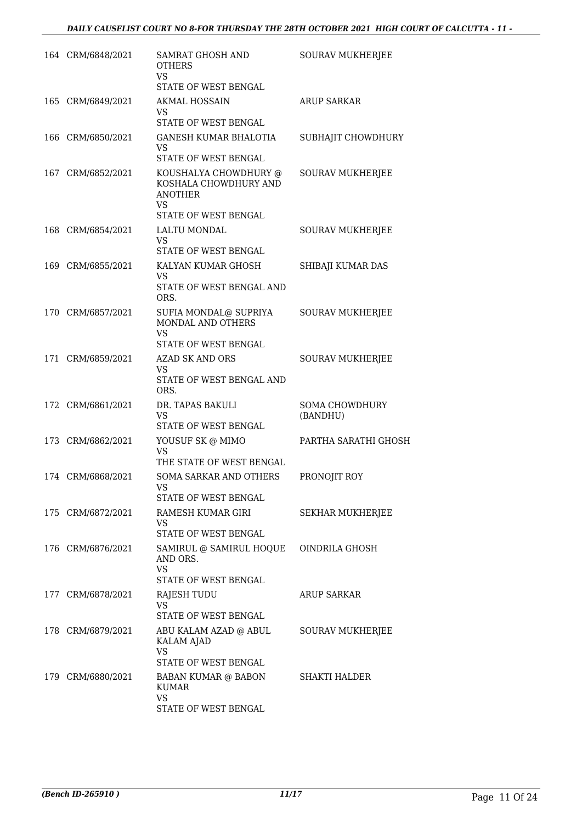| 164 CRM/6848/2021 | <b>SAMRAT GHOSH AND</b><br><b>OTHERS</b><br>VS                                                        | <b>SOURAV MUKHERJEE</b>           |
|-------------------|-------------------------------------------------------------------------------------------------------|-----------------------------------|
|                   | STATE OF WEST BENGAL                                                                                  |                                   |
| 165 CRM/6849/2021 | <b>AKMAL HOSSAIN</b><br>VS                                                                            | <b>ARUP SARKAR</b>                |
|                   | STATE OF WEST BENGAL                                                                                  |                                   |
| 166 CRM/6850/2021 | GANESH KUMAR BHALOTIA<br><b>VS</b><br>STATE OF WEST BENGAL                                            | SUBHAJIT CHOWDHURY                |
| 167 CRM/6852/2021 | KOUSHALYA CHOWDHURY @<br>KOSHALA CHOWDHURY AND<br><b>ANOTHER</b><br><b>VS</b><br>STATE OF WEST BENGAL | <b>SOURAV MUKHERJEE</b>           |
| 168 CRM/6854/2021 | LALTU MONDAL                                                                                          | SOURAV MUKHERJEE                  |
|                   | VS<br>STATE OF WEST BENGAL                                                                            |                                   |
| 169 CRM/6855/2021 | KALYAN KUMAR GHOSH<br>VS<br>STATE OF WEST BENGAL AND<br>ORS.                                          | SHIBAJI KUMAR DAS                 |
| 170 CRM/6857/2021 | SUFIA MONDAL@ SUPRIYA<br>MONDAL AND OTHERS<br>VS<br>STATE OF WEST BENGAL                              | <b>SOURAV MUKHERJEE</b>           |
| 171 CRM/6859/2021 | <b>AZAD SK AND ORS</b>                                                                                | <b>SOURAV MUKHERJEE</b>           |
|                   | <b>VS</b><br>STATE OF WEST BENGAL AND<br>ORS.                                                         |                                   |
| 172 CRM/6861/2021 | DR. TAPAS BAKULI<br>VS<br>STATE OF WEST BENGAL                                                        | <b>SOMA CHOWDHURY</b><br>(BANDHU) |
| 173 CRM/6862/2021 | YOUSUF SK @ MIMO<br><b>VS</b><br>THE STATE OF WEST BENGAL                                             | PARTHA SARATHI GHOSH              |
| 174 CRM/6868/2021 | <b>SOMA SARKAR AND OTHERS</b><br>VS<br>STATE OF WEST BENGAL                                           | PRONOJIT ROY                      |
| 175 CRM/6872/2021 | RAMESH KUMAR GIRI<br>VS<br>STATE OF WEST BENGAL                                                       | SEKHAR MUKHERJEE                  |
| 176 CRM/6876/2021 | SAMIRUL @ SAMIRUL HOQUE<br>AND ORS.<br>VS<br>STATE OF WEST BENGAL                                     | OINDRILA GHOSH                    |
| 177 CRM/6878/2021 | RAJESH TUDU<br><b>VS</b><br>STATE OF WEST BENGAL                                                      | <b>ARUP SARKAR</b>                |
| 178 CRM/6879/2021 | ABU KALAM AZAD @ ABUL<br>KALAM AJAD<br>VS<br><b>STATE OF WEST BENGAL</b>                              | <b>SOURAV MUKHERJEE</b>           |
| 179 CRM/6880/2021 | BABAN KUMAR @ BABON<br><b>KUMAR</b><br>VS<br>STATE OF WEST BENGAL                                     | <b>SHAKTI HALDER</b>              |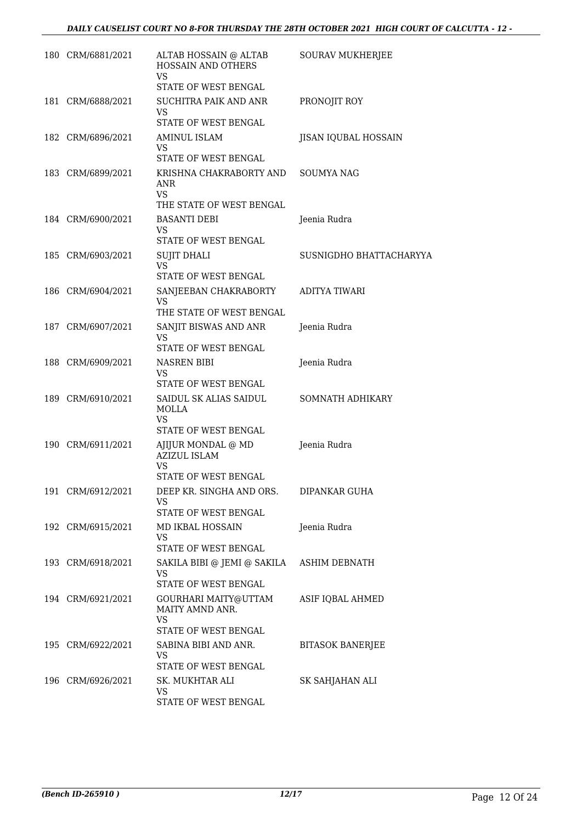| 180 CRM/6881/2021 | ALTAB HOSSAIN @ ALTAB<br>HOSSAIN AND OTHERS<br><b>VS</b>                | <b>SOURAV MUKHERJEE</b> |
|-------------------|-------------------------------------------------------------------------|-------------------------|
|                   | STATE OF WEST BENGAL                                                    |                         |
| 181 CRM/6888/2021 | <b>SUCHITRA PAIK AND ANR</b><br>VS                                      | PRONOJIT ROY            |
|                   | STATE OF WEST BENGAL                                                    |                         |
| 182 CRM/6896/2021 | AMINUL ISLAM<br>VS                                                      | JISAN IQUBAL HOSSAIN    |
|                   | STATE OF WEST BENGAL                                                    |                         |
| 183 CRM/6899/2021 | KRISHNA CHAKRABORTY AND<br>ANR<br><b>VS</b>                             | <b>SOUMYA NAG</b>       |
|                   | THE STATE OF WEST BENGAL                                                |                         |
| 184 CRM/6900/2021 | <b>BASANTI DEBI</b><br>VS                                               | Jeenia Rudra            |
|                   | STATE OF WEST BENGAL                                                    |                         |
| 185 CRM/6903/2021 | <b>SUJIT DHALI</b>                                                      | SUSNIGDHO BHATTACHARYYA |
|                   | VS<br>STATE OF WEST BENGAL                                              |                         |
| 186 CRM/6904/2021 | SANJEEBAN CHAKRABORTY<br>VS                                             | <b>ADITYA TIWARI</b>    |
|                   | THE STATE OF WEST BENGAL                                                |                         |
| 187 CRM/6907/2021 | SANJIT BISWAS AND ANR<br>VS                                             | Jeenia Rudra            |
|                   | STATE OF WEST BENGAL                                                    |                         |
| 188 CRM/6909/2021 | NASREN BIBI<br>VS                                                       | Jeenia Rudra            |
|                   | STATE OF WEST BENGAL                                                    |                         |
| 189 CRM/6910/2021 | SAIDUL SK ALIAS SAIDUL<br>MOLLA                                         | SOMNATH ADHIKARY        |
|                   | VS<br>STATE OF WEST BENGAL                                              |                         |
| 190 CRM/6911/2021 | AJIJUR MONDAL @ MD<br><b>AZIZUL ISLAM</b><br>VS<br>STATE OF WEST BENGAL | Jeenia Rudra            |
| 191 CRM/6912/2021 | DEEP KR. SINGHA AND ORS.                                                | DIPANKAR GUHA           |
|                   | VS<br>STATE OF WEST BENGAL                                              |                         |
| 192 CRM/6915/2021 | MD IKBAL HOSSAIN                                                        | Jeenia Rudra            |
|                   | VS.<br>STATE OF WEST BENGAL                                             |                         |
| 193 CRM/6918/2021 | SAKILA BIBI @ JEMI @ SAKILA                                             | ASHIM DEBNATH           |
|                   | VS<br>STATE OF WEST BENGAL                                              |                         |
| 194 CRM/6921/2021 | GOURHARI MAITY@UTTAM<br>MAITY AMND ANR.<br>VS.<br>STATE OF WEST BENGAL  | ASIF IQBAL AHMED        |
| 195 CRM/6922/2021 | SABINA BIBI AND ANR.                                                    | <b>BITASOK BANERJEE</b> |
|                   | VS.                                                                     |                         |
|                   | STATE OF WEST BENGAL                                                    |                         |
| 196 CRM/6926/2021 | SK. MUKHTAR ALI<br>VS                                                   | SK SAHJAHAN ALI         |
|                   | STATE OF WEST BENGAL                                                    |                         |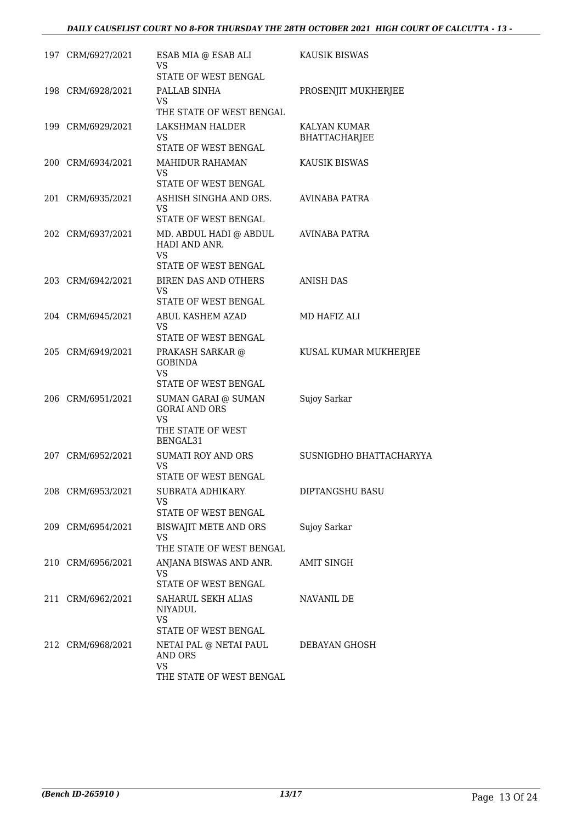#### *DAILY CAUSELIST COURT NO 8-FOR THURSDAY THE 28TH OCTOBER 2021 HIGH COURT OF CALCUTTA - 13 -*

| 197 CRM/6927/2021 | ESAB MIA @ ESAB ALI<br>VS<br>STATE OF WEST BENGAL                                         | KAUSIK BISWAS                        |
|-------------------|-------------------------------------------------------------------------------------------|--------------------------------------|
| 198 CRM/6928/2021 | PALLAB SINHA<br><b>VS</b><br>THE STATE OF WEST BENGAL                                     | PROSENJIT MUKHERJEE                  |
| 199 CRM/6929/2021 | LAKSHMAN HALDER<br>VS                                                                     | KALYAN KUMAR<br><b>BHATTACHARJEE</b> |
| 200 CRM/6934/2021 | STATE OF WEST BENGAL<br><b>MAHIDUR RAHAMAN</b><br>VS<br>STATE OF WEST BENGAL              | KAUSIK BISWAS                        |
| 201 CRM/6935/2021 | ASHISH SINGHA AND ORS.<br>VS<br>STATE OF WEST BENGAL                                      | AVINABA PATRA                        |
| 202 CRM/6937/2021 | MD. ABDUL HADI @ ABDUL<br>HADI AND ANR.<br>VS                                             | AVINABA PATRA                        |
| 203 CRM/6942/2021 | STATE OF WEST BENGAL<br>BIREN DAS AND OTHERS<br>VS<br><b>STATE OF WEST BENGAL</b>         | <b>ANISH DAS</b>                     |
| 204 CRM/6945/2021 | ABUL KASHEM AZAD<br>VS<br>STATE OF WEST BENGAL                                            | MD HAFIZ ALI                         |
| 205 CRM/6949/2021 | PRAKASH SARKAR @<br><b>GOBINDA</b><br><b>VS</b><br>STATE OF WEST BENGAL                   | KUSAL KUMAR MUKHERJEE                |
| 206 CRM/6951/2021 | SUMAN GARAI @ SUMAN<br><b>GORAI AND ORS</b><br><b>VS</b><br>THE STATE OF WEST<br>BENGAL31 | Sujoy Sarkar                         |
| 207 CRM/6952/2021 | SUMATI ROY AND ORS<br><b>VS</b><br>STATE OF WEST BENGAL                                   | SUSNIGDHO BHATTACHARYYA              |
| 208 CRM/6953/2021 | SUBRATA ADHIKARY<br>VS<br>STATE OF WEST BENGAL                                            | DIPTANGSHU BASU                      |
| 209 CRM/6954/2021 | BISWAJIT METE AND ORS<br>VS<br>THE STATE OF WEST BENGAL                                   | Sujoy Sarkar                         |
| 210 CRM/6956/2021 | ANJANA BISWAS AND ANR.<br><b>VS</b><br>STATE OF WEST BENGAL                               | AMIT SINGH                           |
| 211 CRM/6962/2021 | SAHARUL SEKH ALIAS<br><b>NIYADUL</b><br>VS.<br>STATE OF WEST BENGAL                       | NAVANIL DE                           |
| 212 CRM/6968/2021 | NETAI PAL @ NETAI PAUL<br>AND ORS<br><b>VS</b><br>THE STATE OF WEST BENGAL                | DEBAYAN GHOSH                        |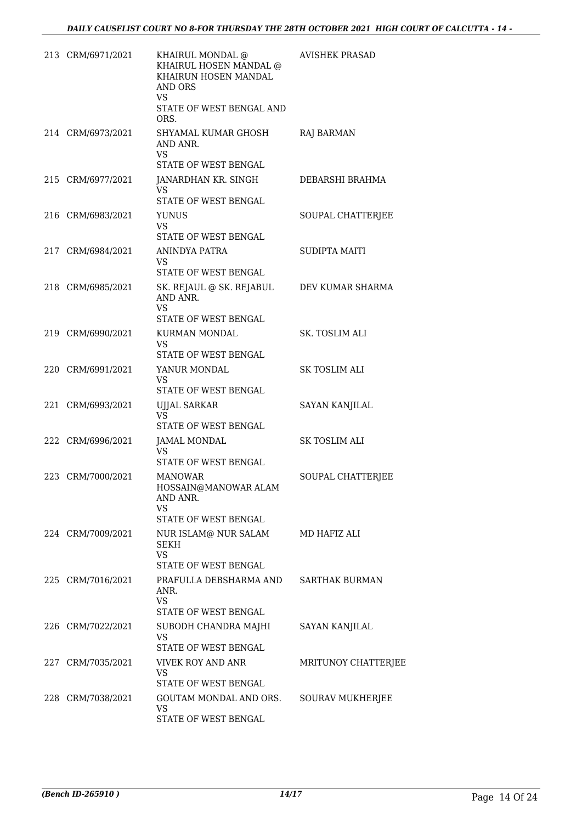| 213 CRM/6971/2021 | KHAIRUL MONDAL @<br>KHAIRUL HOSEN MANDAL @<br>KHAIRUN HOSEN MANDAL<br>AND ORS<br>VS<br>STATE OF WEST BENGAL AND<br>ORS. | <b>AVISHEK PRASAD</b> |
|-------------------|-------------------------------------------------------------------------------------------------------------------------|-----------------------|
| 214 CRM/6973/2021 | SHYAMAL KUMAR GHOSH<br>AND ANR.<br>VS<br>STATE OF WEST BENGAL                                                           | RAJ BARMAN            |
| 215 CRM/6977/2021 | JANARDHAN KR. SINGH<br>VS.<br>STATE OF WEST BENGAL                                                                      | DEBARSHI BRAHMA       |
| 216 CRM/6983/2021 | <b>YUNUS</b><br>VS<br>STATE OF WEST BENGAL                                                                              | SOUPAL CHATTERJEE     |
| 217 CRM/6984/2021 | ANINDYA PATRA<br><b>VS</b><br>STATE OF WEST BENGAL                                                                      | <b>SUDIPTA MAITI</b>  |
| 218 CRM/6985/2021 | SK. REJAUL @ SK. REJABUL<br>AND ANR.<br>VS<br>STATE OF WEST BENGAL                                                      | DEV KUMAR SHARMA      |
| 219 CRM/6990/2021 | KURMAN MONDAL<br><b>VS</b><br>STATE OF WEST BENGAL                                                                      | <b>SK. TOSLIM ALI</b> |
| 220 CRM/6991/2021 | YANUR MONDAL<br>VS<br>STATE OF WEST BENGAL                                                                              | SK TOSLIM ALI         |
| 221 CRM/6993/2021 | UJJAL SARKAR<br><b>VS</b><br>STATE OF WEST BENGAL                                                                       | <b>SAYAN KANJILAL</b> |
| 222 CRM/6996/2021 | JAMAL MONDAL<br>VS<br>STATE OF WEST BENGAL                                                                              | SK TOSLIM ALI         |
| 223 CRM/7000/2021 | MANOWAR<br>HOSSAIN@MANOWAR ALAM<br>AND ANR.<br>VS<br>STATE OF WEST BENGAL                                               | SOUPAL CHATTERJEE     |
| 224 CRM/7009/2021 | NUR ISLAM@ NUR SALAM MD HAFIZ ALI<br>SEKH<br><b>VS</b><br>STATE OF WEST BENGAL                                          |                       |
| 225 CRM/7016/2021 | PRAFULLA DEBSHARMA AND SARTHAK BURMAN<br>ANR.<br><b>VS</b><br>STATE OF WEST BENGAL                                      |                       |
| 226 CRM/7022/2021 | SUBODH CHANDRA MAJHI SAYAN KANJILAL<br><b>VS</b><br>STATE OF WEST BENGAL                                                |                       |
| 227 CRM/7035/2021 | VIVEK ROY AND ANR<br>VS<br>STATE OF WEST BENGAL                                                                         | MRITUNOY CHATTERJEE   |
| 228 CRM/7038/2021 | GOUTAM MONDAL AND ORS.<br>VS.<br>STATE OF WEST BENGAL                                                                   | SOURAV MUKHERJEE      |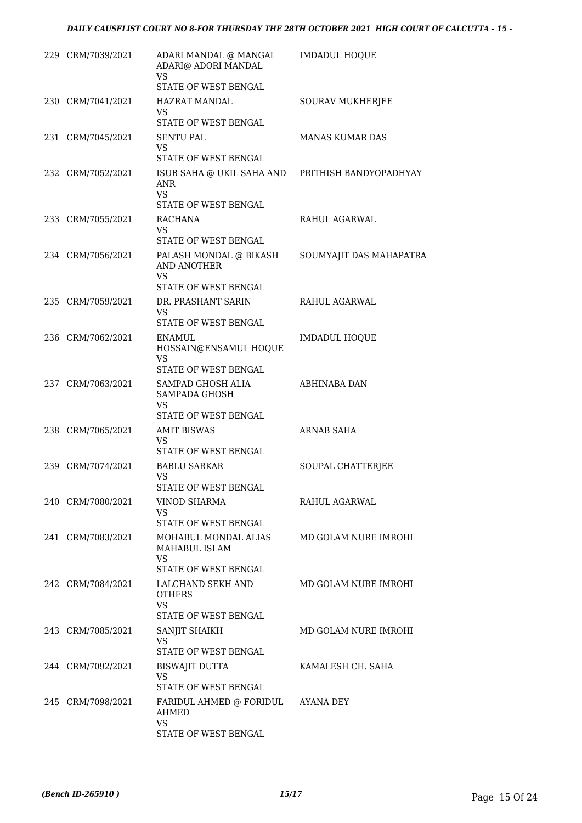| 229 CRM/7039/2021 | ADARI MANDAL @ MANGAL<br>ADARI@ ADORI MANDAL<br><b>VS</b>                   | <b>IMDADUL HOQUE</b>    |
|-------------------|-----------------------------------------------------------------------------|-------------------------|
|                   | STATE OF WEST BENGAL                                                        |                         |
| 230 CRM/7041/2021 | HAZRAT MANDAL<br><b>VS</b>                                                  | <b>SOURAV MUKHERJEE</b> |
|                   | STATE OF WEST BENGAL                                                        |                         |
| 231 CRM/7045/2021 | <b>SENTU PAL</b><br>VS                                                      | <b>MANAS KUMAR DAS</b>  |
|                   | STATE OF WEST BENGAL                                                        |                         |
| 232 CRM/7052/2021 | ISUB SAHA @ UKIL SAHA AND PRITHISH BANDYOPADHYAY<br><b>ANR</b><br><b>VS</b> |                         |
|                   | STATE OF WEST BENGAL                                                        |                         |
| 233 CRM/7055/2021 | RACHANA<br>VS                                                               | RAHUL AGARWAL           |
|                   | STATE OF WEST BENGAL                                                        |                         |
| 234 CRM/7056/2021 | PALASH MONDAL @ BIKASH<br><b>AND ANOTHER</b><br><b>VS</b>                   | SOUMYAJIT DAS MAHAPATRA |
|                   | <b>STATE OF WEST BENGAL</b>                                                 |                         |
| 235 CRM/7059/2021 | DR. PRASHANT SARIN                                                          | RAHUL AGARWAL           |
|                   | VS<br>STATE OF WEST BENGAL                                                  |                         |
| 236 CRM/7062/2021 | ENAMUL                                                                      | <b>IMDADUL HOQUE</b>    |
|                   | HOSSAIN@ENSAMUL HOQUE<br><b>VS</b>                                          |                         |
|                   | STATE OF WEST BENGAL                                                        |                         |
| 237 CRM/7063/2021 | SAMPAD GHOSH ALIA<br>SAMPADA GHOSH<br>VS                                    | ABHINABA DAN            |
|                   | STATE OF WEST BENGAL                                                        |                         |
| 238 CRM/7065/2021 | <b>AMIT BISWAS</b><br>VS                                                    | <b>ARNAB SAHA</b>       |
|                   | STATE OF WEST BENGAL                                                        |                         |
| 239 CRM/7074/2021 | <b>BABLU SARKAR</b><br>VS                                                   | SOUPAL CHATTERJEE       |
|                   | STATE OF WEST BENGAL                                                        |                         |
| 240 CRM/7080/2021 | <b>VINOD SHARMA</b><br>VS                                                   | RAHUL AGARWAL           |
|                   | STATE OF WEST BENGAL                                                        |                         |
| 241 CRM/7083/2021 | MOHABUL MONDAL ALIAS<br>MAHABUL ISLAM<br>VS<br>STATE OF WEST BENGAL         | MD GOLAM NURE IMROHI    |
| 242 CRM/7084/2021 | LALCHAND SEKH AND                                                           | MD GOLAM NURE IMROHI    |
|                   | <b>OTHERS</b><br>VS                                                         |                         |
|                   | STATE OF WEST BENGAL                                                        |                         |
| 243 CRM/7085/2021 | SANJIT SHAIKH<br>VS<br>STATE OF WEST BENGAL                                 | MD GOLAM NURE IMROHI    |
| 244 CRM/7092/2021 | BISWAJIT DUTTA                                                              | KAMALESH CH. SAHA       |
|                   | VS<br>STATE OF WEST BENGAL                                                  |                         |
| 245 CRM/7098/2021 | FARIDUL AHMED @ FORIDUL<br><b>AHMED</b>                                     | AYANA DEY               |
|                   | VS<br>STATE OF WEST BENGAL                                                  |                         |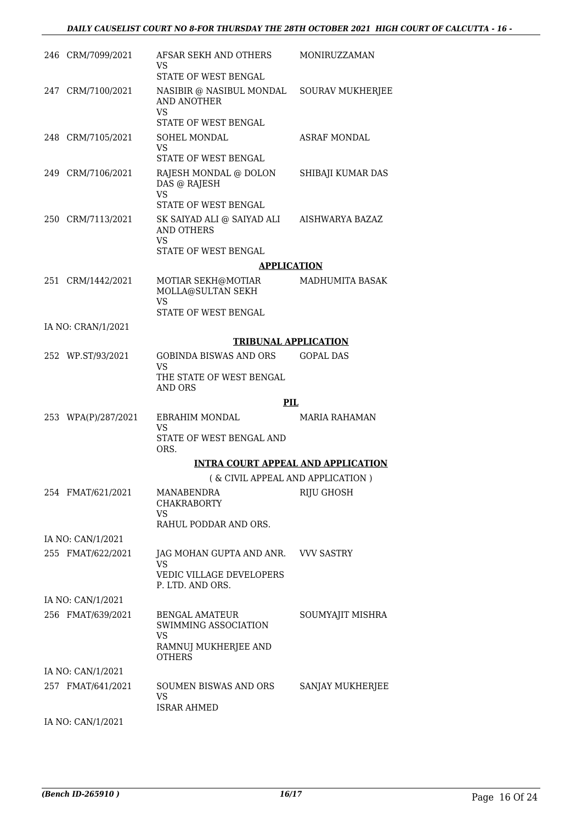| 246 CRM/7099/2021   | AFSAR SEKH AND OTHERS<br>VS<br>STATE OF WEST BENGAL                                          | MONIRUZZAMAN            |
|---------------------|----------------------------------------------------------------------------------------------|-------------------------|
| 247 CRM/7100/2021   | NASIBIR @ NASIBUL MONDAL<br>AND ANOTHER                                                      | <b>SOURAV MUKHERJEE</b> |
|                     | <b>VS</b><br>STATE OF WEST BENGAL                                                            |                         |
| 248 CRM/7105/2021   | SOHEL MONDAL<br>VS                                                                           | <b>ASRAF MONDAL</b>     |
|                     | <b>STATE OF WEST BENGAL</b>                                                                  |                         |
| 249 CRM/7106/2021   | RAJESH MONDAL @ DOLON<br>DAS @ RAJESH<br>VS                                                  | SHIBAJI KUMAR DAS       |
|                     | STATE OF WEST BENGAL                                                                         |                         |
| 250 CRM/7113/2021   | SK SAIYAD ALI @ SAIYAD ALI<br><b>AND OTHERS</b><br>VS                                        | AISHWARYA BAZAZ         |
|                     | <b>STATE OF WEST BENGAL</b>                                                                  |                         |
|                     | <b>APPLICATION</b>                                                                           |                         |
| 251 CRM/1442/2021   | MOTIAR SEKH@MOTIAR<br>MOLLA@SULTAN SEKH                                                      | <b>MADHUMITA BASAK</b>  |
|                     | <b>VS</b><br>STATE OF WEST BENGAL                                                            |                         |
| IA NO: CRAN/1/2021  |                                                                                              |                         |
|                     | <b>TRIBUNAL APPLICATION</b>                                                                  |                         |
| 252 WP.ST/93/2021   | GOBINDA BISWAS AND ORS<br>VS                                                                 | <b>GOPAL DAS</b>        |
|                     | THE STATE OF WEST BENGAL<br><b>AND ORS</b>                                                   |                         |
|                     | <b>PIL</b>                                                                                   |                         |
| 253 WPA(P)/287/2021 | EBRAHIM MONDAL<br><b>VS</b>                                                                  | <b>MARIA RAHAMAN</b>    |
|                     | STATE OF WEST BENGAL AND<br>ORS.                                                             |                         |
|                     | <b>INTRA COURT APPEAL AND APPLICATION</b>                                                    |                         |
|                     | ( & CIVIL APPEAL AND APPLICATION )                                                           |                         |
| 254 FMAT/621/2021   | MANABENDRA<br><b>CHAKRABORTY</b><br>VS                                                       | RIJU GHOSH              |
|                     | RAHUL PODDAR AND ORS.                                                                        |                         |
| IA NO: CAN/1/2021   |                                                                                              |                         |
| 255 FMAT/622/2021   | JAG MOHAN GUPTA AND ANR.<br>VS                                                               | <b>VVV SASTRY</b>       |
|                     | VEDIC VILLAGE DEVELOPERS<br>P. LTD. AND ORS.                                                 |                         |
| IA NO: CAN/1/2021   |                                                                                              |                         |
| 256 FMAT/639/2021   | BENGAL AMATEUR<br>SWIMMING ASSOCIATION<br><b>VS</b><br>RAMNUJ MUKHERJEE AND<br><b>OTHERS</b> | SOUMYAJIT MISHRA        |
| IA NO: CAN/1/2021   |                                                                                              |                         |
| 257 FMAT/641/2021   | SOUMEN BISWAS AND ORS<br>VS                                                                  | SANJAY MUKHERJEE        |
|                     | <b>ISRAR AHMED</b>                                                                           |                         |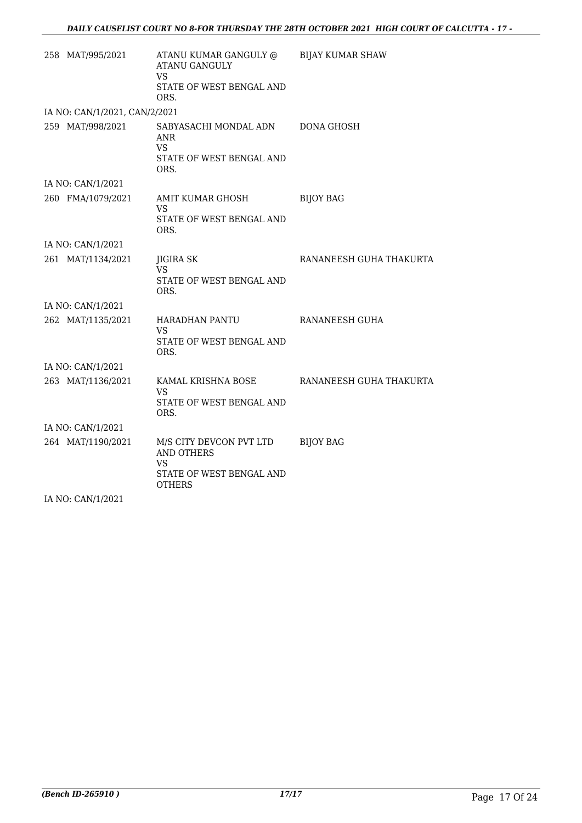| 258 MAT/995/2021              | ATANU KUMAR GANGULY @<br><b>ATANU GANGULY</b><br>VS.<br>STATE OF WEST BENGAL AND                | <b>BIJAY KUMAR SHAW</b> |
|-------------------------------|-------------------------------------------------------------------------------------------------|-------------------------|
|                               | ORS.                                                                                            |                         |
| IA NO: CAN/1/2021, CAN/2/2021 |                                                                                                 |                         |
| 259 MAT/998/2021              | SABYASACHI MONDAL ADN<br>ANR<br>VS.<br>STATE OF WEST BENGAL AND<br>ORS.                         | <b>DONA GHOSH</b>       |
| IA NO: CAN/1/2021             |                                                                                                 |                         |
| 260 FMA/1079/2021             | AMIT KUMAR GHOSH<br>VS.<br>STATE OF WEST BENGAL AND<br>ORS.                                     | <b>BIJOY BAG</b>        |
| IA NO: CAN/1/2021             |                                                                                                 |                         |
| 261 MAT/1134/2021             | JIGIRA SK<br>VS<br>STATE OF WEST BENGAL AND<br>ORS.                                             | RANANEESH GUHA THAKURTA |
| IA NO: CAN/1/2021             |                                                                                                 |                         |
| 262 MAT/1135/2021             | HARADHAN PANTU<br>VS.<br>STATE OF WEST BENGAL AND<br>ORS.                                       | RANANEESH GUHA          |
| IA NO: CAN/1/2021             |                                                                                                 |                         |
| 263 MAT/1136/2021             | KAMAL KRISHNA BOSE<br>VS.<br>STATE OF WEST BENGAL AND<br>ORS.                                   | RANANEESH GUHA THAKURTA |
| IA NO: CAN/1/2021             |                                                                                                 |                         |
| 264 MAT/1190/2021             | M/S CITY DEVCON PVT LTD<br><b>AND OTHERS</b><br>VS<br>STATE OF WEST BENGAL AND<br><b>OTHERS</b> | <b>BIJOY BAG</b>        |
| IA NO: CAN/1/2021             |                                                                                                 |                         |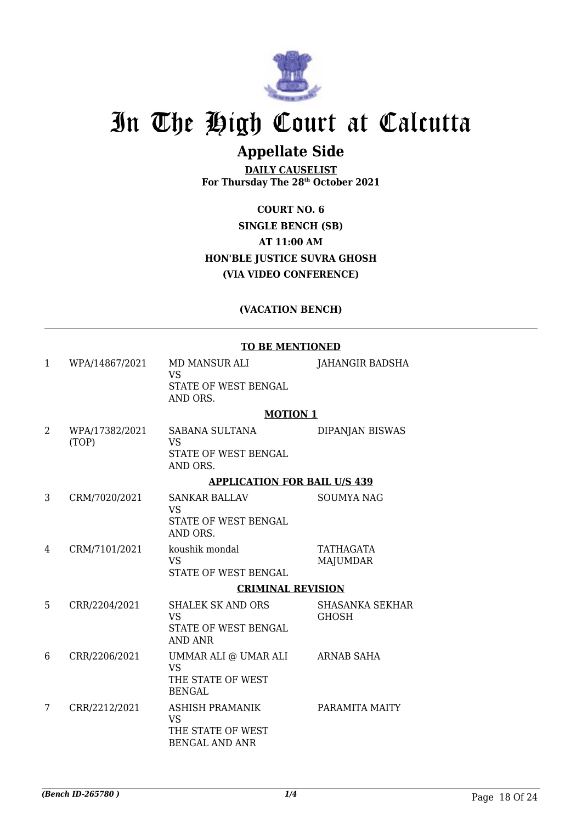

## **Appellate Side**

**DAILY CAUSELIST For Thursday The 28th October 2021**

**COURT NO. 6 SINGLE BENCH (SB) AT 11:00 AM HON'BLE JUSTICE SUVRA GHOSH (VIA VIDEO CONFERENCE)**

### **(VACATION BENCH)**

#### **TO BE MENTIONED**

|              |                         | <u>TO DE FIERTIORED</u>                                                           |                                        |
|--------------|-------------------------|-----------------------------------------------------------------------------------|----------------------------------------|
| $\mathbf{1}$ | WPA/14867/2021          | MD MANSUR ALI<br><b>VS</b>                                                        | JAHANGIR BADSHA                        |
|              |                         | STATE OF WEST BENGAL<br>AND ORS.                                                  |                                        |
|              |                         | <b>MOTION 1</b>                                                                   |                                        |
| 2            | WPA/17382/2021<br>(TOP) | SABANA SULTANA<br><b>VS</b><br>STATE OF WEST BENGAL<br>AND ORS.                   | <b>DIPANJAN BISWAS</b>                 |
|              |                         | <b>APPLICATION FOR BAIL U/S 439</b>                                               |                                        |
| 3            | CRM/7020/2021           | <b>SANKAR BALLAV</b><br><b>VS</b><br>STATE OF WEST BENGAL                         | <b>SOUMYA NAG</b>                      |
|              |                         | AND ORS.                                                                          |                                        |
| 4            | CRM/7101/2021           | koushik mondal<br><b>VS</b>                                                       | TATHAGATA<br><b>MAJUMDAR</b>           |
|              |                         | STATE OF WEST BENGAL                                                              |                                        |
|              |                         | <b>CRIMINAL REVISION</b>                                                          |                                        |
| 5            | CRR/2204/2021           | <b>SHALEK SK AND ORS</b><br><b>VS</b><br>STATE OF WEST BENGAL<br><b>AND ANR</b>   | <b>SHASANKA SEKHAR</b><br><b>GHOSH</b> |
| 6            | CRR/2206/2021           | UMMAR ALI @ UMAR ALI<br><b>VS</b><br>THE STATE OF WEST<br><b>BENGAL</b>           | ARNAB SAHA                             |
| 7            | CRR/2212/2021           | <b>ASHISH PRAMANIK</b><br><b>VS</b><br>THE STATE OF WEST<br><b>BENGAL AND ANR</b> | PARAMITA MAITY                         |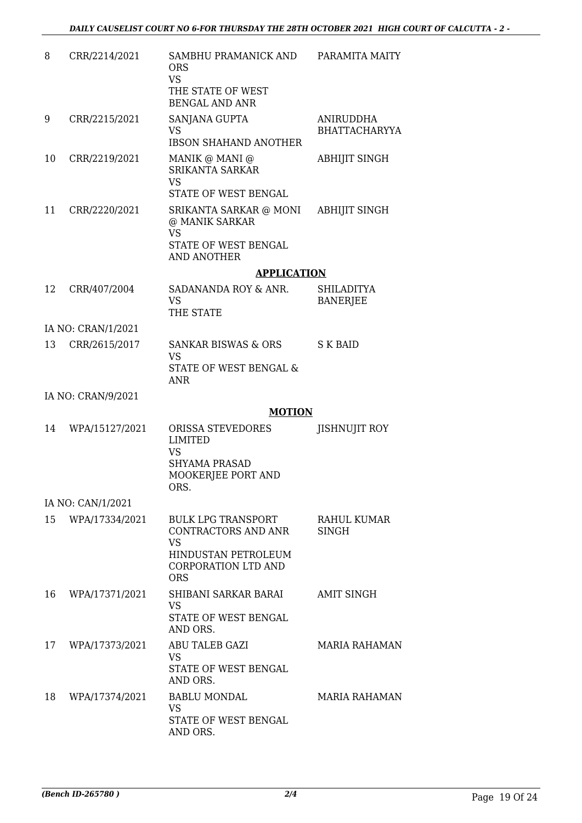| 8  | CRR/2214/2021      | SAMBHU PRAMANICK AND<br><b>ORS</b><br><b>VS</b><br>THE STATE OF WEST<br><b>BENGAL AND ANR</b>                                    | PARAMITA MAITY                           |
|----|--------------------|----------------------------------------------------------------------------------------------------------------------------------|------------------------------------------|
| 9  | CRR/2215/2021      | SANJANA GUPTA<br>VS.<br><b>IBSON SHAHAND ANOTHER</b>                                                                             | <b>ANIRUDDHA</b><br><b>BHATTACHARYYA</b> |
| 10 | CRR/2219/2021      | MANIK @ MANI @<br><b>SRIKANTA SARKAR</b><br><b>VS</b><br>STATE OF WEST BENGAL                                                    | <b>ABHIJIT SINGH</b>                     |
| 11 | CRR/2220/2021      | SRIKANTA SARKAR @ MONI<br>@ MANIK SARKAR<br><b>VS</b><br>STATE OF WEST BENGAL<br><b>AND ANOTHER</b>                              | <b>ABHIJIT SINGH</b>                     |
|    |                    | <b>APPLICATION</b>                                                                                                               |                                          |
| 12 | CRR/407/2004       | SADANANDA ROY & ANR.<br><b>VS</b><br>THE STATE                                                                                   | SHILADITYA<br><b>BANERJEE</b>            |
|    | IA NO: CRAN/1/2021 |                                                                                                                                  |                                          |
| 13 | CRR/2615/2017      | <b>SANKAR BISWAS &amp; ORS</b><br><b>VS</b><br>STATE OF WEST BENGAL &<br><b>ANR</b>                                              | S K BAID                                 |
|    | IA NO: CRAN/9/2021 |                                                                                                                                  |                                          |
|    |                    | <b>MOTION</b>                                                                                                                    |                                          |
| 14 | WPA/15127/2021     | ORISSA STEVEDORES<br><b>LIMITED</b><br><b>VS</b><br><b>SHYAMA PRASAD</b><br>MOOKERJEE PORT AND<br>ORS.                           | <b>JISHNUJIT ROY</b>                     |
|    | IA NO: CAN/1/2021  |                                                                                                                                  |                                          |
| 15 | WPA/17334/2021     | <b>BULK LPG TRANSPORT</b><br>CONTRACTORS AND ANR<br><b>VS</b><br>HINDUSTAN PETROLEUM<br><b>CORPORATION LTD AND</b><br><b>ORS</b> | RAHUL KUMAR<br><b>SINGH</b>              |
| 16 | WPA/17371/2021     | SHIBANI SARKAR BARAI<br>VS<br>STATE OF WEST BENGAL<br>AND ORS.                                                                   | <b>AMIT SINGH</b>                        |
| 17 | WPA/17373/2021     | ABU TALEB GAZI<br><b>VS</b><br>STATE OF WEST BENGAL<br>AND ORS.                                                                  | <b>MARIA RAHAMAN</b>                     |
| 18 | WPA/17374/2021     | <b>BABLU MONDAL</b><br>VS<br>STATE OF WEST BENGAL<br>AND ORS.                                                                    | <b>MARIA RAHAMAN</b>                     |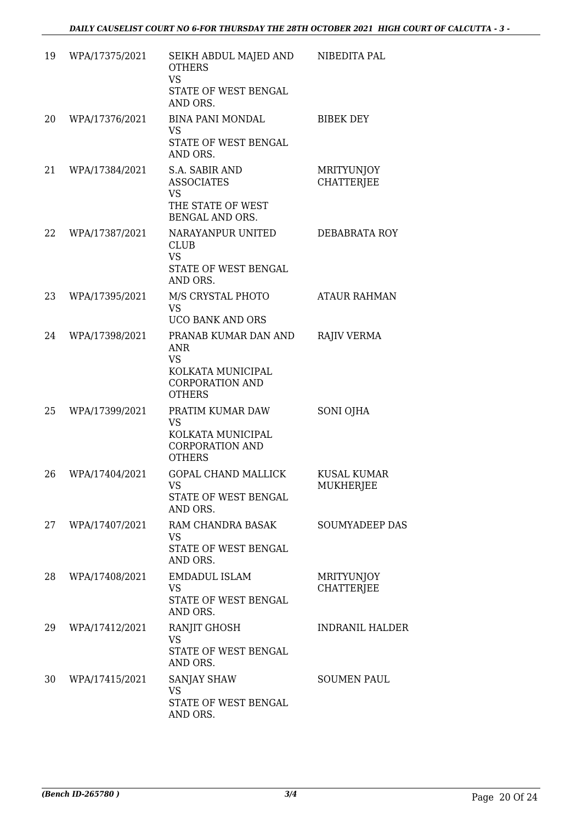| 19 | WPA/17375/2021 | SEIKH ABDUL MAJED AND<br><b>OTHERS</b><br><b>VS</b><br>STATE OF WEST BENGAL<br>AND ORS.                         | NIBEDITA PAL                           |
|----|----------------|-----------------------------------------------------------------------------------------------------------------|----------------------------------------|
| 20 | WPA/17376/2021 | <b>BINA PANI MONDAL</b><br><b>VS</b><br>STATE OF WEST BENGAL<br>AND ORS.                                        | <b>BIBEK DEY</b>                       |
| 21 | WPA/17384/2021 | S.A. SABIR AND<br><b>ASSOCIATES</b><br><b>VS</b><br>THE STATE OF WEST<br>BENGAL AND ORS.                        | <b>MRITYUNJOY</b><br><b>CHATTERJEE</b> |
| 22 | WPA/17387/2021 | NARAYANPUR UNITED<br><b>CLUB</b><br><b>VS</b><br>STATE OF WEST BENGAL<br>AND ORS.                               | DEBABRATA ROY                          |
| 23 | WPA/17395/2021 | M/S CRYSTAL PHOTO<br><b>VS</b><br><b>UCO BANK AND ORS</b>                                                       | <b>ATAUR RAHMAN</b>                    |
| 24 | WPA/17398/2021 | PRANAB KUMAR DAN AND<br><b>ANR</b><br><b>VS</b><br>KOLKATA MUNICIPAL<br><b>CORPORATION AND</b><br><b>OTHERS</b> | <b>RAJIV VERMA</b>                     |
| 25 | WPA/17399/2021 | PRATIM KUMAR DAW<br><b>VS</b><br>KOLKATA MUNICIPAL<br><b>CORPORATION AND</b><br><b>OTHERS</b>                   | SONI OJHA                              |
| 26 | WPA/17404/2021 | <b>GOPAL CHAND MALLICK</b><br>VS FOR THE VS<br>STATE OF WEST BENGAL<br>AND ORS.                                 | <b>KUSAL KUMAR</b><br><b>MUKHERJEE</b> |
| 27 | WPA/17407/2021 | RAM CHANDRA BASAK<br><b>VS</b><br>STATE OF WEST BENGAL<br>AND ORS.                                              | <b>SOUMYADEEP DAS</b>                  |
| 28 | WPA/17408/2021 | <b>EMDADUL ISLAM</b><br><b>VS</b><br>STATE OF WEST BENGAL<br>AND ORS.                                           | <b>MRITYUNJOY</b><br><b>CHATTERJEE</b> |
| 29 | WPA/17412/2021 | RANJIT GHOSH<br><b>VS</b><br>STATE OF WEST BENGAL<br>AND ORS.                                                   | <b>INDRANIL HALDER</b>                 |
| 30 | WPA/17415/2021 | <b>SANJAY SHAW</b><br><b>VS</b><br>STATE OF WEST BENGAL<br>AND ORS.                                             | <b>SOUMEN PAUL</b>                     |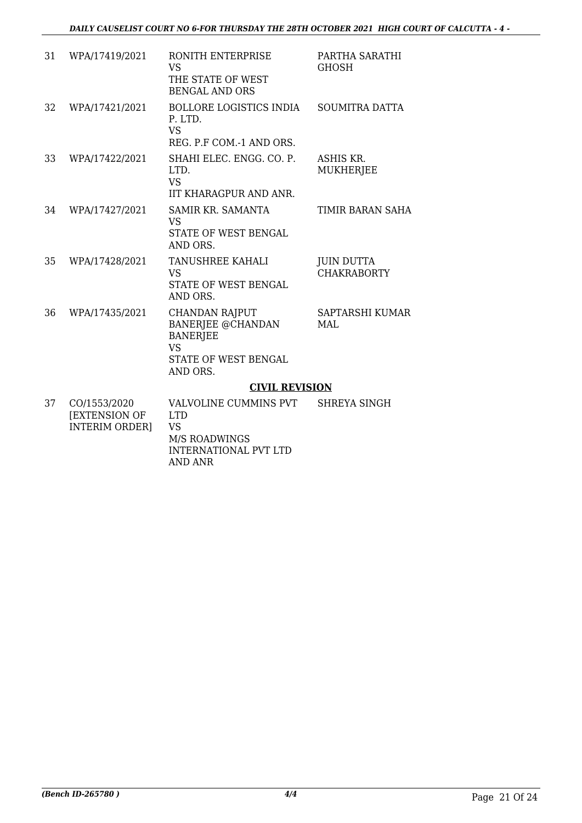| 31 | WPA/17419/2021                                                | RONITH ENTERPRISE<br><b>VS</b><br>THE STATE OF WEST<br><b>BENGAL AND ORS</b>                                                 | PARTHA SARATHI<br><b>GHOSH</b>          |
|----|---------------------------------------------------------------|------------------------------------------------------------------------------------------------------------------------------|-----------------------------------------|
| 32 | WPA/17421/2021                                                | <b>BOLLORE LOGISTICS INDIA</b><br>P. LTD.<br><b>VS</b><br>REG. P.F COM.-1 AND ORS.                                           | <b>SOUMITRA DATTA</b>                   |
| 33 | WPA/17422/2021                                                | SHAHI ELEC. ENGG. CO. P.<br>LTD.<br><b>VS</b><br>IIT KHARAGPUR AND ANR.                                                      | ASHIS KR.<br><b>MUKHERJEE</b>           |
| 34 | WPA/17427/2021                                                | SAMIR KR. SAMANTA<br><b>VS</b><br><b>STATE OF WEST BENGAL</b><br>AND ORS.                                                    | TIMIR BARAN SAHA                        |
| 35 | WPA/17428/2021                                                | <b>TANUSHREE KAHALI</b><br><b>VS</b><br><b>STATE OF WEST BENGAL</b><br>AND ORS.                                              | <b>JUIN DUTTA</b><br><b>CHAKRABORTY</b> |
| 36 | WPA/17435/2021                                                | <b>CHANDAN RAJPUT</b><br><b>BANERJEE @CHANDAN</b><br><b>BANERJEE</b><br><b>VS</b><br><b>STATE OF WEST BENGAL</b><br>AND ORS. | SAPTARSHI KUMAR<br><b>MAL</b>           |
|    |                                                               | <b>CIVIL REVISION</b>                                                                                                        |                                         |
| 37 | CO/1553/2020<br><b>[EXTENSION OF</b><br><b>INTERIM ORDER]</b> | VALVOLINE CUMMINS PVT<br><b>LTD</b><br><b>VS</b><br><b>M/S ROADWINGS</b><br><b>INTERNATIONAL PVT LTD</b>                     | SHREYA SINGH                            |

AND ANR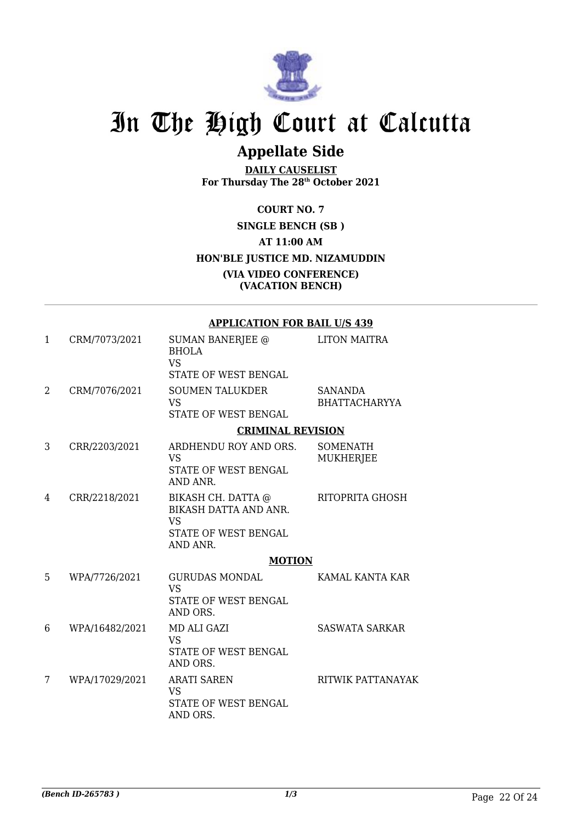

## **Appellate Side**

**DAILY CAUSELIST For Thursday The 28th October 2021**

### **COURT NO. 7 SINGLE BENCH (SB ) AT 11:00 AM HON'BLE JUSTICE MD. NIZAMUDDIN (VIA VIDEO CONFERENCE) (VACATION BENCH)**

#### **APPLICATION FOR BAIL U/S 439**

| 1 | CRM/7073/2021  | <b>SUMAN BANERJEE @</b><br><b>BHOLA</b><br><b>VS</b>                                                       | <b>LITON MAITRA</b>                    |
|---|----------------|------------------------------------------------------------------------------------------------------------|----------------------------------------|
|   |                | STATE OF WEST BENGAL                                                                                       |                                        |
| 2 | CRM/7076/2021  | <b>SOUMEN TALUKDER</b><br><b>VS</b>                                                                        | <b>SANANDA</b><br><b>BHATTACHARYYA</b> |
|   |                | STATE OF WEST BENGAL                                                                                       |                                        |
|   |                | <b>CRIMINAL REVISION</b>                                                                                   |                                        |
| 3 | CRR/2203/2021  | ARDHENDU ROY AND ORS.<br><b>VS</b><br>STATE OF WEST BENGAL<br>AND ANR.                                     | SOMENATH<br><b>MUKHERJEE</b>           |
| 4 | CRR/2218/2021  | BIKASH CH. DATTA @<br><b>BIKASH DATTA AND ANR.</b><br><b>VS</b><br><b>STATE OF WEST BENGAL</b><br>AND ANR. | RITOPRITA GHOSH                        |
|   |                | <b>MOTION</b>                                                                                              |                                        |
| 5 | WPA/7726/2021  | <b>GURUDAS MONDAL</b><br><b>VS</b><br>STATE OF WEST BENGAL<br>AND ORS.                                     | KAMAL KANTA KAR                        |
| 6 | WPA/16482/2021 | <b>MD ALI GAZI</b><br><b>VS</b><br>STATE OF WEST BENGAL<br>AND ORS.                                        | <b>SASWATA SARKAR</b>                  |
| 7 | WPA/17029/2021 | <b>ARATI SAREN</b><br><b>VS</b><br>STATE OF WEST BENGAL<br>AND ORS.                                        | RITWIK PATTANAYAK                      |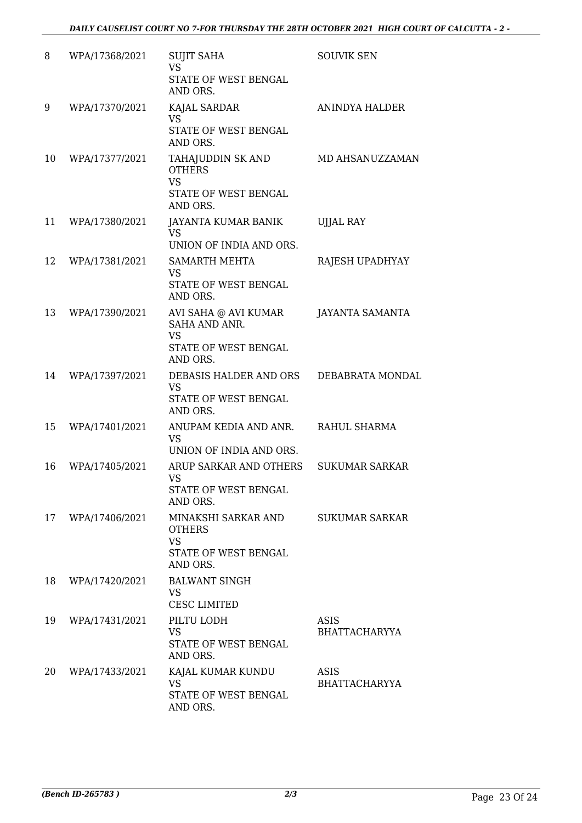| 8  | WPA/17368/2021 | <b>SUJIT SAHA</b><br><b>VS</b><br>STATE OF WEST BENGAL<br>AND ORS.                     | <b>SOUVIK SEN</b>                   |
|----|----------------|----------------------------------------------------------------------------------------|-------------------------------------|
| 9  | WPA/17370/2021 | KAJAL SARDAR<br><b>VS</b><br>STATE OF WEST BENGAL<br>AND ORS.                          | <b>ANINDYA HALDER</b>               |
| 10 | WPA/17377/2021 | TAHAJUDDIN SK AND<br><b>OTHERS</b><br><b>VS</b><br>STATE OF WEST BENGAL<br>AND ORS.    | MD AHSANUZZAMAN                     |
| 11 | WPA/17380/2021 | JAYANTA KUMAR BANIK<br><b>VS</b><br>UNION OF INDIA AND ORS.                            | <b>UJJAL RAY</b>                    |
| 12 | WPA/17381/2021 | <b>SAMARTH MEHTA</b><br><b>VS</b><br><b>STATE OF WEST BENGAL</b><br>AND ORS.           | RAJESH UPADHYAY                     |
| 13 | WPA/17390/2021 | AVI SAHA @ AVI KUMAR<br>SAHA AND ANR.<br><b>VS</b><br>STATE OF WEST BENGAL<br>AND ORS. | <b>JAYANTA SAMANTA</b>              |
| 14 | WPA/17397/2021 | DEBASIS HALDER AND ORS<br><b>VS</b><br>STATE OF WEST BENGAL<br>AND ORS.                | DEBABRATA MONDAL                    |
| 15 | WPA/17401/2021 | ANUPAM KEDIA AND ANR.<br><b>VS</b><br>UNION OF INDIA AND ORS.                          | RAHUL SHARMA                        |
| 16 | WPA/17405/2021 | ARUP SARKAR AND OTHERS<br><b>VS</b><br>STATE OF WEST BENGAL<br>AND ORS.                | <b>SUKUMAR SARKAR</b>               |
| 17 | WPA/17406/2021 | MINAKSHI SARKAR AND<br><b>OTHERS</b><br><b>VS</b><br>STATE OF WEST BENGAL<br>AND ORS.  | <b>SUKUMAR SARKAR</b>               |
| 18 | WPA/17420/2021 | <b>BALWANT SINGH</b><br><b>VS</b><br><b>CESC LIMITED</b>                               |                                     |
| 19 | WPA/17431/2021 | PILTU LODH<br><b>VS</b><br>STATE OF WEST BENGAL<br>AND ORS.                            | ASIS<br><b>BHATTACHARYYA</b>        |
| 20 | WPA/17433/2021 | KAJAL KUMAR KUNDU<br><b>VS</b><br>STATE OF WEST BENGAL<br>AND ORS.                     | <b>ASIS</b><br><b>BHATTACHARYYA</b> |